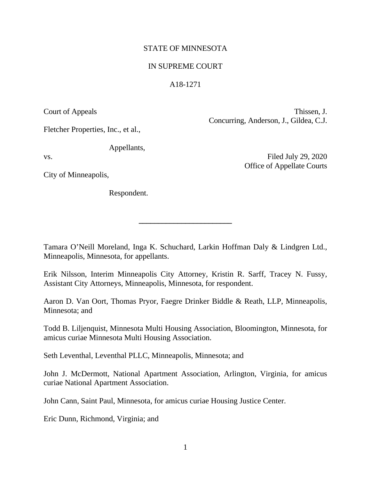## STATE OF MINNESOTA

## IN SUPREME COURT

## A18-1271

Court of Appeals Thissen, J. Concurring, Anderson, J., Gildea, C.J.

Fletcher Properties, Inc., et al.,

Appellants,

vs. Filed July 29, 2020 Office of Appellate Courts

City of Minneapolis,

Respondent.

Tamara O'Neill Moreland, Inga K. Schuchard, Larkin Hoffman Daly & Lindgren Ltd., Minneapolis, Minnesota, for appellants.

**\_\_\_\_\_\_\_\_\_\_\_\_\_\_\_\_\_\_\_\_\_\_\_\_** 

Erik Nilsson, Interim Minneapolis City Attorney, Kristin R. Sarff, Tracey N. Fussy, Assistant City Attorneys, Minneapolis, Minnesota, for respondent.

Aaron D. Van Oort, Thomas Pryor, Faegre Drinker Biddle & Reath, LLP, Minneapolis, Minnesota; and

Todd B. Liljenquist, Minnesota Multi Housing Association, Bloomington, Minnesota, for amicus curiae Minnesota Multi Housing Association.

Seth Leventhal, Leventhal PLLC, Minneapolis, Minnesota; and

John J. McDermott, National Apartment Association, Arlington, Virginia, for amicus curiae National Apartment Association.

John Cann, Saint Paul, Minnesota, for amicus curiae Housing Justice Center.

Eric Dunn, Richmond, Virginia; and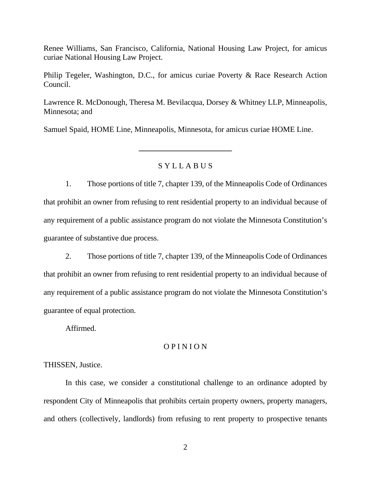Renee Williams, San Francisco, California, National Housing Law Project, for amicus curiae National Housing Law Project.

Philip Tegeler, Washington, D.C., for amicus curiae Poverty & Race Research Action Council.

Lawrence R. McDonough, Theresa M. Bevilacqua, Dorsey & Whitney LLP, Minneapolis, Minnesota; and

Samuel Spaid, HOME Line, Minneapolis, Minnesota, for amicus curiae HOME Line.

## S Y L L A B U S

**\_\_\_\_\_\_\_\_\_\_\_\_\_\_\_\_\_\_\_\_\_\_\_\_** 

1. Those portions of title 7, chapter 139, of the Minneapolis Code of Ordinances that prohibit an owner from refusing to rent residential property to an individual because of any requirement of a public assistance program do not violate the Minnesota Constitution's guarantee of substantive due process.

2. Those portions of title 7, chapter 139, of the Minneapolis Code of Ordinances that prohibit an owner from refusing to rent residential property to an individual because of any requirement of a public assistance program do not violate the Minnesota Constitution's guarantee of equal protection.

Affirmed.

## O P I N I O N

THISSEN, Justice.

 In this case, we consider a constitutional challenge to an ordinance adopted by respondent City of Minneapolis that prohibits certain property owners, property managers, and others (collectively, landlords) from refusing to rent property to prospective tenants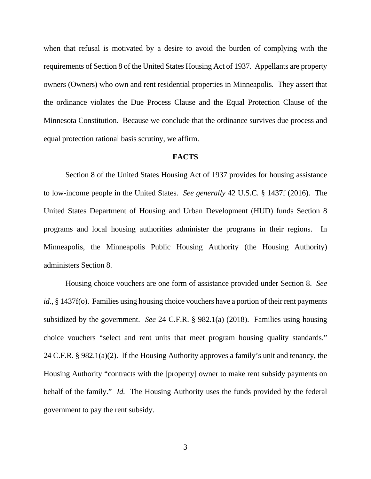when that refusal is motivated by a desire to avoid the burden of complying with the requirements of Section 8 of the United States Housing Act of 1937. Appellants are property owners (Owners) who own and rent residential properties in Minneapolis. They assert that the ordinance violates the Due Process Clause and the Equal Protection Clause of the Minnesota Constitution. Because we conclude that the ordinance survives due process and equal protection rational basis scrutiny, we affirm.

#### **FACTS**

 Section 8 of the United States Housing Act of 1937 provides for housing assistance to low-income people in the United States. *See generally* 42 U.S.C. § 1437f (2016). The United States Department of Housing and Urban Development (HUD) funds Section 8 programs and local housing authorities administer the programs in their regions. In Minneapolis, the Minneapolis Public Housing Authority (the Housing Authority) administers Section 8.

 Housing choice vouchers are one form of assistance provided under Section 8. *See id.*, § 1437f(o). Families using housing choice vouchers have a portion of their rent payments subsidized by the government. *See* 24 C.F.R. § 982.1(a) (2018). Families using housing choice vouchers "select and rent units that meet program housing quality standards." 24 C.F.R. § 982.1(a)(2). If the Housing Authority approves a family's unit and tenancy, the Housing Authority "contracts with the [property] owner to make rent subsidy payments on behalf of the family." *Id.* The Housing Authority uses the funds provided by the federal government to pay the rent subsidy.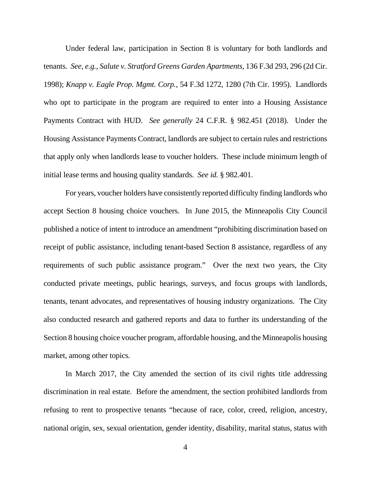Under federal law, participation in Section 8 is voluntary for both landlords and tenants. *See, e.g.*, *Salute v. Stratford Greens Garden Apartments*, 136 F.3d 293, 296 (2d Cir. 1998); *Knapp v. Eagle Prop. Mgmt. Corp.*, 54 F.3d 1272, 1280 (7th Cir. 1995). Landlords who opt to participate in the program are required to enter into a Housing Assistance Payments Contract with HUD. *See generally* 24 C.F.R. § 982.451 (2018). Under the Housing Assistance Payments Contract, landlords are subject to certain rules and restrictions that apply only when landlords lease to voucher holders. These include minimum length of initial lease terms and housing quality standards. *See id.* § 982.401.

 For years, voucher holders have consistently reported difficulty finding landlords who accept Section 8 housing choice vouchers. In June 2015, the Minneapolis City Council published a notice of intent to introduce an amendment "prohibiting discrimination based on receipt of public assistance, including tenant-based Section 8 assistance, regardless of any requirements of such public assistance program." Over the next two years, the City conducted private meetings, public hearings, surveys, and focus groups with landlords, tenants, tenant advocates, and representatives of housing industry organizations. The City also conducted research and gathered reports and data to further its understanding of the Section 8 housing choice voucher program, affordable housing, and the Minneapolis housing market, among other topics.

 In March 2017, the City amended the section of its civil rights title addressing discrimination in real estate. Before the amendment, the section prohibited landlords from refusing to rent to prospective tenants "because of race, color, creed, religion, ancestry, national origin, sex, sexual orientation, gender identity, disability, marital status, status with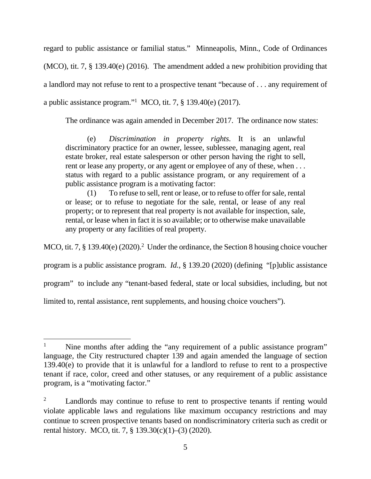regard to public assistance or familial status." Minneapolis, Minn., Code of Ordinances (MCO), tit. 7, § 139.40(e) (2016). The amendment added a new prohibition providing that a landlord may not refuse to rent to a prospective tenant "because of . . . any requirement of a public assistance program."1 MCO, tit. 7, § 139.40(e) (2017).

The ordinance was again amended in December 2017. The ordinance now states:

(e) *Discrimination in property rights*. It is an unlawful discriminatory practice for an owner, lessee, sublessee, managing agent, real estate broker, real estate salesperson or other person having the right to sell, rent or lease any property, or any agent or employee of any of these, when ... status with regard to a public assistance program, or any requirement of a public assistance program is a motivating factor:

(1) To refuse to sell, rent or lease, or to refuse to offer for sale, rental or lease; or to refuse to negotiate for the sale, rental, or lease of any real property; or to represent that real property is not available for inspection, sale, rental, or lease when in fact it is so available; or to otherwise make unavailable any property or any facilities of real property.

MCO, tit. 7,  $\S$  139.40(e) (2020).<sup>2</sup> Under the ordinance, the Section 8 housing choice voucher

program is a public assistance program. *Id.*, § 139.20 (2020) (defining "[p]ublic assistance

program" to include any "tenant-based federal, state or local subsidies, including, but not

limited to, rental assistance, rent supplements, and housing choice vouchers").

 1 Nine months after adding the "any requirement of a public assistance program" language, the City restructured chapter 139 and again amended the language of section 139.40(e) to provide that it is unlawful for a landlord to refuse to rent to a prospective tenant if race, color, creed and other statuses, or any requirement of a public assistance program, is a "motivating factor."

<sup>2</sup> Landlords may continue to refuse to rent to prospective tenants if renting would violate applicable laws and regulations like maximum occupancy restrictions and may continue to screen prospective tenants based on nondiscriminatory criteria such as credit or rental history. MCO, tit. 7, § 139.30(c)(1)–(3) (2020).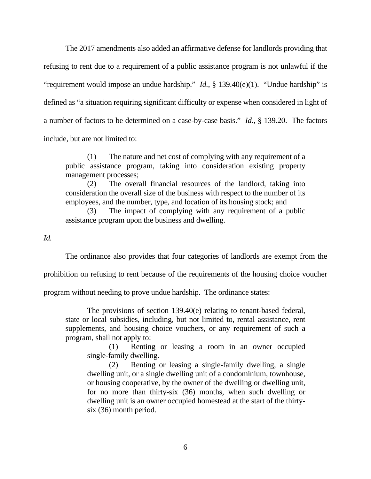The 2017 amendments also added an affirmative defense for landlords providing that refusing to rent due to a requirement of a public assistance program is not unlawful if the "requirement would impose an undue hardship." *Id.*, § 139.40(e)(1). "Undue hardship" is defined as "a situation requiring significant difficulty or expense when considered in light of a number of factors to be determined on a case-by-case basis." *Id.*, § 139.20. The factors include, but are not limited to:

(1) The nature and net cost of complying with any requirement of a public assistance program, taking into consideration existing property management processes;

(2) The overall financial resources of the landlord, taking into consideration the overall size of the business with respect to the number of its employees, and the number, type, and location of its housing stock; and

(3) The impact of complying with any requirement of a public assistance program upon the business and dwelling.

*Id.*

The ordinance also provides that four categories of landlords are exempt from the

prohibition on refusing to rent because of the requirements of the housing choice voucher

program without needing to prove undue hardship. The ordinance states:

The provisions of section 139.40(e) relating to tenant-based federal, state or local subsidies, including, but not limited to, rental assistance, rent supplements, and housing choice vouchers, or any requirement of such a program, shall not apply to:

(1) Renting or leasing a room in an owner occupied single-family dwelling.

(2) Renting or leasing a single-family dwelling, a single dwelling unit, or a single dwelling unit of a condominium, townhouse, or housing cooperative, by the owner of the dwelling or dwelling unit, for no more than thirty-six (36) months, when such dwelling or dwelling unit is an owner occupied homestead at the start of the thirtysix (36) month period.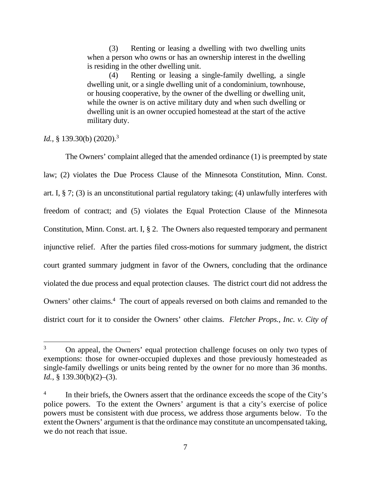(3) Renting or leasing a dwelling with two dwelling units when a person who owns or has an ownership interest in the dwelling is residing in the other dwelling unit.

(4) Renting or leasing a single-family dwelling, a single dwelling unit, or a single dwelling unit of a condominium, townhouse, or housing cooperative, by the owner of the dwelling or dwelling unit, while the owner is on active military duty and when such dwelling or dwelling unit is an owner occupied homestead at the start of the active military duty.

# *Id.*, § 139.30(b) (2020).<sup>3</sup>

 The Owners' complaint alleged that the amended ordinance (1) is preempted by state law; (2) violates the Due Process Clause of the Minnesota Constitution, Minn. Const. art. I, § 7; (3) is an unconstitutional partial regulatory taking; (4) unlawfully interferes with freedom of contract; and (5) violates the Equal Protection Clause of the Minnesota Constitution, Minn. Const. art. I, § 2. The Owners also requested temporary and permanent injunctive relief. After the parties filed cross-motions for summary judgment, the district court granted summary judgment in favor of the Owners, concluding that the ordinance violated the due process and equal protection clauses. The district court did not address the Owners' other claims.<sup>4</sup> The court of appeals reversed on both claims and remanded to the district court for it to consider the Owners' other claims. *Fletcher Props., Inc. v. City of* 

<sup>3</sup> On appeal, the Owners' equal protection challenge focuses on only two types of exemptions: those for owner-occupied duplexes and those previously homesteaded as single-family dwellings or units being rented by the owner for no more than 36 months. *Id.*, § 139.30(b)(2)–(3).

<sup>4</sup> In their briefs, the Owners assert that the ordinance exceeds the scope of the City's police powers. To the extent the Owners' argument is that a city's exercise of police powers must be consistent with due process, we address those arguments below. To the extent the Owners' argument is that the ordinance may constitute an uncompensated taking, we do not reach that issue.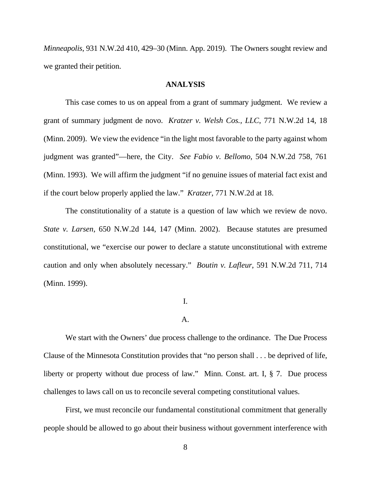*Minneapolis*, 931 N.W.2d 410, 429–30 (Minn. App. 2019). The Owners sought review and we granted their petition.

### **ANALYSIS**

 This case comes to us on appeal from a grant of summary judgment. We review a grant of summary judgment de novo. *Kratzer v. Welsh Cos., LLC*, 771 N.W.2d 14, 18 (Minn. 2009). We view the evidence "in the light most favorable to the party against whom judgment was granted"—here, the City. *See Fabio v. Bellomo*, 504 N.W.2d 758, 761 (Minn. 1993). We will affirm the judgment "if no genuine issues of material fact exist and if the court below properly applied the law." *Kratzer*, 771 N.W.2d at 18.

 The constitutionality of a statute is a question of law which we review de novo. *State v. Larsen*, 650 N.W.2d 144, 147 (Minn. 2002). Because statutes are presumed constitutional, we "exercise our power to declare a statute unconstitutional with extreme caution and only when absolutely necessary." *Boutin v. Lafleur*, 591 N.W.2d 711, 714 (Minn. 1999).

# I.

### A.

We start with the Owners' due process challenge to the ordinance. The Due Process Clause of the Minnesota Constitution provides that "no person shall . . . be deprived of life, liberty or property without due process of law." Minn. Const. art. I, § 7. Due process challenges to laws call on us to reconcile several competing constitutional values.

First, we must reconcile our fundamental constitutional commitment that generally people should be allowed to go about their business without government interference with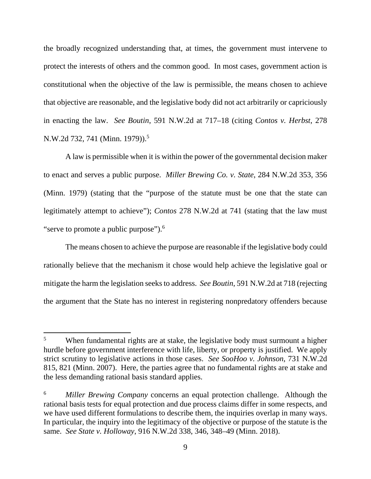the broadly recognized understanding that, at times, the government must intervene to protect the interests of others and the common good. In most cases, government action is constitutional when the objective of the law is permissible, the means chosen to achieve that objective are reasonable, and the legislative body did not act arbitrarily or capriciously in enacting the law. *See Boutin*, 591 N.W.2d at 717–18 (citing *Contos v. Herbst*, 278 N.W.2d 732, 741 (Minn. 1979)).<sup>5</sup>

A law is permissible when it is within the power of the governmental decision maker to enact and serves a public purpose. *Miller Brewing Co. v. State*, 284 N.W.2d 353, 356 (Minn. 1979) (stating that the "purpose of the statute must be one that the state can legitimately attempt to achieve"); *Contos* 278 N.W.2d at 741 (stating that the law must "serve to promote a public purpose").<sup>6</sup>

The means chosen to achieve the purpose are reasonable if the legislative body could rationally believe that the mechanism it chose would help achieve the legislative goal or mitigate the harm the legislation seeks to address. *See Boutin*, 591 N.W.2d at 718 (rejecting the argument that the State has no interest in registering nonpredatory offenders because

<sup>5</sup> When fundamental rights are at stake, the legislative body must surmount a higher hurdle before government interference with life, liberty, or property is justified. We apply strict scrutiny to legislative actions in those cases. *See SooHoo v. Johnson*, 731 N.W.2d 815, 821 (Minn. 2007). Here, the parties agree that no fundamental rights are at stake and the less demanding rational basis standard applies.

<sup>6</sup> *Miller Brewing Company* concerns an equal protection challenge. Although the rational basis tests for equal protection and due process claims differ in some respects, and we have used different formulations to describe them, the inquiries overlap in many ways. In particular, the inquiry into the legitimacy of the objective or purpose of the statute is the same. *See State v. Holloway*, 916 N.W.2d 338, 346, 348–49 (Minn. 2018).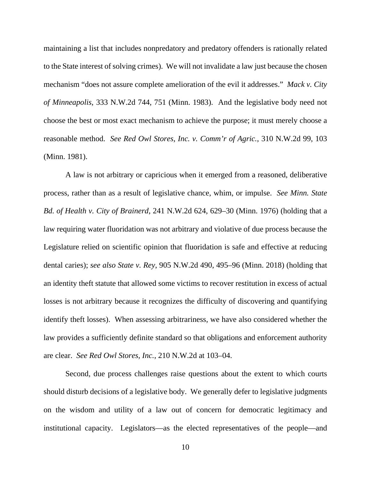maintaining a list that includes nonpredatory and predatory offenders is rationally related to the State interest of solving crimes). We will not invalidate a law just because the chosen mechanism "does not assure complete amelioration of the evil it addresses." *Mack v. City of Minneapolis*, 333 N.W.2d 744, 751 (Minn. 1983). And the legislative body need not choose the best or most exact mechanism to achieve the purpose; it must merely choose a reasonable method. *See Red Owl Stores, Inc. v. Comm'r of Agric.*, 310 N.W.2d 99, 103 (Minn. 1981).

A law is not arbitrary or capricious when it emerged from a reasoned, deliberative process, rather than as a result of legislative chance, whim, or impulse. *See Minn. State Bd. of Health v. City of Brainerd*, 241 N.W.2d 624, 629–30 (Minn. 1976) (holding that a law requiring water fluoridation was not arbitrary and violative of due process because the Legislature relied on scientific opinion that fluoridation is safe and effective at reducing dental caries); *see also State v. Rey*, 905 N.W.2d 490, 495–96 (Minn. 2018) (holding that an identity theft statute that allowed some victims to recover restitution in excess of actual losses is not arbitrary because it recognizes the difficulty of discovering and quantifying identify theft losses). When assessing arbitrariness, we have also considered whether the law provides a sufficiently definite standard so that obligations and enforcement authority are clear. *See Red Owl Stores, Inc.*, 210 N.W.2d at 103–04.

Second, due process challenges raise questions about the extent to which courts should disturb decisions of a legislative body. We generally defer to legislative judgments on the wisdom and utility of a law out of concern for democratic legitimacy and institutional capacity. Legislators—as the elected representatives of the people—and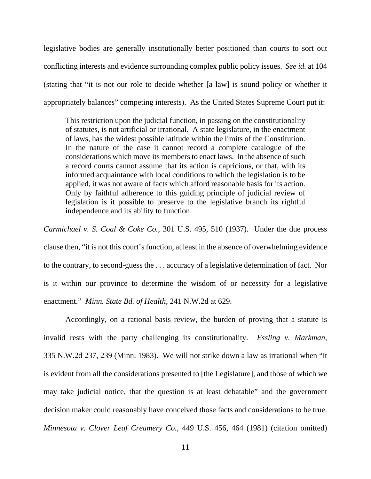legislative bodies are generally institutionally better positioned than courts to sort out conflicting interests and evidence surrounding complex public policy issues. *See id.* at 104 (stating that "it is not our role to decide whether [a law] is sound policy or whether it appropriately balances" competing interests). As the United States Supreme Court put it:

This restriction upon the judicial function, in passing on the constitutionality of statutes, is not artificial or irrational. A state legislature, in the enactment of laws, has the widest possible latitude within the limits of the Constitution. In the nature of the case it cannot record a complete catalogue of the considerations which move its members to enact laws. In the absence of such a record courts cannot assume that its action is capricious, or that, with its informed acquaintance with local conditions to which the legislation is to be applied, it was not aware of facts which afford reasonable basis for its action. Only by faithful adherence to this guiding principle of judicial review of legislation is it possible to preserve to the legislative branch its rightful independence and its ability to function.

*Carmichael v. S. Coal & Coke Co.*, 301 U.S. 495, 510 (1937). Under the due process clause then, "it is not this court's function, at least in the absence of overwhelming evidence to the contrary, to second-guess the . . . accuracy of a legislative determination of fact. Nor is it within our province to determine the wisdom of or necessity for a legislative enactment." *Minn. State Bd. of Health*, 241 N.W.2d at 629.

Accordingly, on a rational basis review, the burden of proving that a statute is invalid rests with the party challenging its constitutionality. *Essling v. Markman*, 335 N.W.2d 237, 239 (Minn. 1983). We will not strike down a law as irrational when "it is evident from all the considerations presented to [the Legislature], and those of which we may take judicial notice, that the question is at least debatable" and the government decision maker could reasonably have conceived those facts and considerations to be true. *Minnesota v. Clover Leaf Creamery Co.*, 449 U.S. 456, 464 (1981) (citation omitted)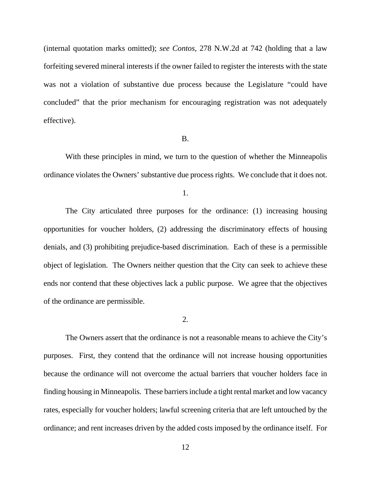(internal quotation marks omitted); *see Contos*, 278 N.W.2d at 742 (holding that a law forfeiting severed mineral interests if the owner failed to register the interests with the state was not a violation of substantive due process because the Legislature "could have concluded" that the prior mechanism for encouraging registration was not adequately effective).

#### B.

 With these principles in mind, we turn to the question of whether the Minneapolis ordinance violates the Owners' substantive due process rights. We conclude that it does not.

1.

 The City articulated three purposes for the ordinance: (1) increasing housing opportunities for voucher holders, (2) addressing the discriminatory effects of housing denials, and (3) prohibiting prejudice-based discrimination. Each of these is a permissible object of legislation. The Owners neither question that the City can seek to achieve these ends nor contend that these objectives lack a public purpose. We agree that the objectives of the ordinance are permissible.

2.

 The Owners assert that the ordinance is not a reasonable means to achieve the City's purposes. First, they contend that the ordinance will not increase housing opportunities because the ordinance will not overcome the actual barriers that voucher holders face in finding housing in Minneapolis. These barriers include a tight rental market and low vacancy rates, especially for voucher holders; lawful screening criteria that are left untouched by the ordinance; and rent increases driven by the added costs imposed by the ordinance itself.For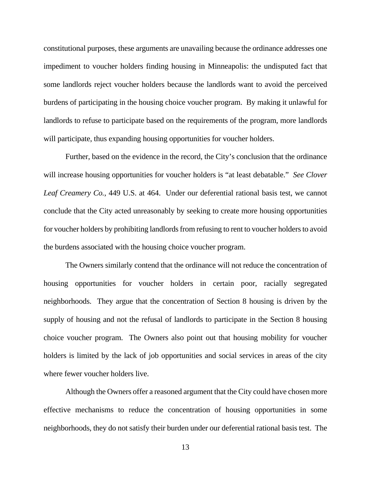constitutional purposes, these arguments are unavailing because the ordinance addresses one impediment to voucher holders finding housing in Minneapolis: the undisputed fact that some landlords reject voucher holders because the landlords want to avoid the perceived burdens of participating in the housing choice voucher program. By making it unlawful for landlords to refuse to participate based on the requirements of the program, more landlords will participate, thus expanding housing opportunities for voucher holders.

 Further, based on the evidence in the record, the City's conclusion that the ordinance will increase housing opportunities for voucher holders is "at least debatable." *See Clover Leaf Creamery Co.*, 449 U.S. at 464. Under our deferential rational basis test, we cannot conclude that the City acted unreasonably by seeking to create more housing opportunities for voucher holders by prohibiting landlords from refusing to rent to voucher holders to avoid the burdens associated with the housing choice voucher program.

 The Owners similarly contend that the ordinance will not reduce the concentration of housing opportunities for voucher holders in certain poor, racially segregated neighborhoods. They argue that the concentration of Section 8 housing is driven by the supply of housing and not the refusal of landlords to participate in the Section 8 housing choice voucher program. The Owners also point out that housing mobility for voucher holders is limited by the lack of job opportunities and social services in areas of the city where fewer voucher holders live.

 Although the Owners offer a reasoned argument that the City could have chosen more effective mechanisms to reduce the concentration of housing opportunities in some neighborhoods, they do not satisfy their burden under our deferential rational basis test. The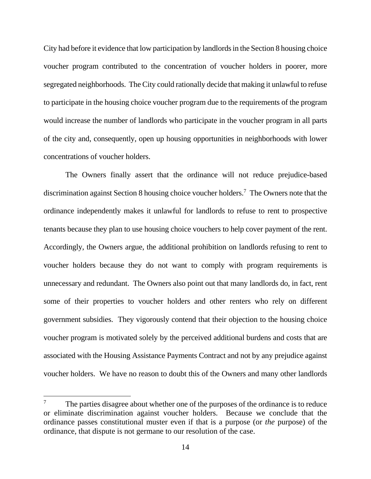City had before it evidence that low participation by landlords in the Section 8 housing choice voucher program contributed to the concentration of voucher holders in poorer, more segregated neighborhoods. The City could rationally decide that making it unlawful to refuse to participate in the housing choice voucher program due to the requirements of the program would increase the number of landlords who participate in the voucher program in all parts of the city and, consequently, open up housing opportunities in neighborhoods with lower concentrations of voucher holders.

 The Owners finally assert that the ordinance will not reduce prejudice-based discrimination against Section 8 housing choice voucher holders.7 The Owners note that the ordinance independently makes it unlawful for landlords to refuse to rent to prospective tenants because they plan to use housing choice vouchers to help cover payment of the rent. Accordingly, the Owners argue, the additional prohibition on landlords refusing to rent to voucher holders because they do not want to comply with program requirements is unnecessary and redundant. The Owners also point out that many landlords do, in fact, rent some of their properties to voucher holders and other renters who rely on different government subsidies. They vigorously contend that their objection to the housing choice voucher program is motivated solely by the perceived additional burdens and costs that are associated with the Housing Assistance Payments Contract and not by any prejudice against voucher holders. We have no reason to doubt this of the Owners and many other landlords

<sup>7</sup> The parties disagree about whether one of the purposes of the ordinance is to reduce or eliminate discrimination against voucher holders. Because we conclude that the ordinance passes constitutional muster even if that is a purpose (or *the* purpose) of the ordinance, that dispute is not germane to our resolution of the case.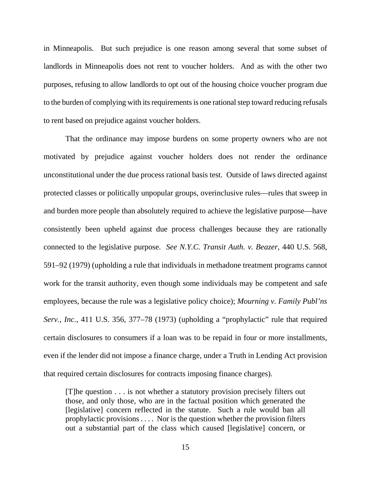in Minneapolis. But such prejudice is one reason among several that some subset of landlords in Minneapolis does not rent to voucher holders. And as with the other two purposes, refusing to allow landlords to opt out of the housing choice voucher program due to the burden of complying with its requirements is one rational step toward reducing refusals to rent based on prejudice against voucher holders.

That the ordinance may impose burdens on some property owners who are not motivated by prejudice against voucher holders does not render the ordinance unconstitutional under the due process rational basis test. Outside of laws directed against protected classes or politically unpopular groups, overinclusive rules—rules that sweep in and burden more people than absolutely required to achieve the legislative purpose—have consistently been upheld against due process challenges because they are rationally connected to the legislative purpose. *See N.Y.C. Transit Auth. v. Beazer*, 440 U.S. 568, 591–92 (1979) (upholding a rule that individuals in methadone treatment programs cannot work for the transit authority, even though some individuals may be competent and safe employees, because the rule was a legislative policy choice); *Mourning v. Family Publ'ns Serv., Inc.*, 411 U.S. 356, 377–78 (1973) (upholding a "prophylactic" rule that required certain disclosures to consumers if a loan was to be repaid in four or more installments, even if the lender did not impose a finance charge, under a Truth in Lending Act provision that required certain disclosures for contracts imposing finance charges).

[T]he question . . . is not whether a statutory provision precisely filters out those, and only those, who are in the factual position which generated the [legislative] concern reflected in the statute. Such a rule would ban all prophylactic provisions . . . . Nor is the question whether the provision filters out a substantial part of the class which caused [legislative] concern, or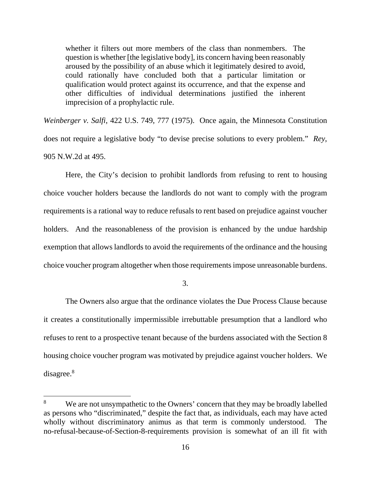whether it filters out more members of the class than nonmembers. The question is whether [the legislative body], its concern having been reasonably aroused by the possibility of an abuse which it legitimately desired to avoid, could rationally have concluded both that a particular limitation or qualification would protect against its occurrence, and that the expense and other difficulties of individual determinations justified the inherent imprecision of a prophylactic rule.

*Weinberger v. Salfi*, 422 U.S. 749, 777 (1975). Once again, the Minnesota Constitution does not require a legislative body "to devise precise solutions to every problem." *Rey*, 905 N.W.2d at 495.

 Here, the City's decision to prohibit landlords from refusing to rent to housing choice voucher holders because the landlords do not want to comply with the program requirements is a rational way to reduce refusals to rent based on prejudice against voucher holders. And the reasonableness of the provision is enhanced by the undue hardship exemption that allows landlords to avoid the requirements of the ordinance and the housing choice voucher program altogether when those requirements impose unreasonable burdens.

3.

 The Owners also argue that the ordinance violates the Due Process Clause because it creates a constitutionally impermissible irrebuttable presumption that a landlord who refuses to rent to a prospective tenant because of the burdens associated with the Section 8 housing choice voucher program was motivated by prejudice against voucher holders. We disagree.<sup>8</sup>

<sup>8</sup> We are not unsympathetic to the Owners' concern that they may be broadly labelled as persons who "discriminated," despite the fact that, as individuals, each may have acted wholly without discriminatory animus as that term is commonly understood. The no-refusal-because-of-Section-8-requirements provision is somewhat of an ill fit with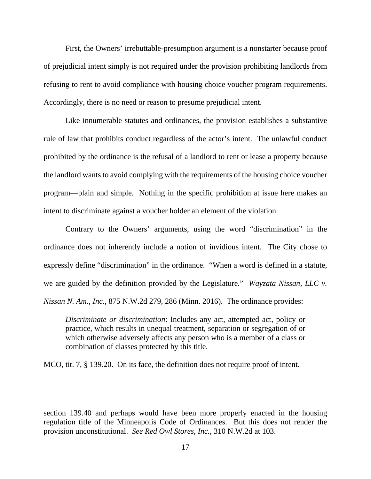First, the Owners' irrebuttable-presumption argument is a nonstarter because proof of prejudicial intent simply is not required under the provision prohibiting landlords from refusing to rent to avoid compliance with housing choice voucher program requirements. Accordingly, there is no need or reason to presume prejudicial intent.

Like innumerable statutes and ordinances, the provision establishes a substantive rule of law that prohibits conduct regardless of the actor's intent. The unlawful conduct prohibited by the ordinance is the refusal of a landlord to rent or lease a property because the landlord wants to avoid complying with the requirements of the housing choice voucher program—plain and simple. Nothing in the specific prohibition at issue here makes an intent to discriminate against a voucher holder an element of the violation.

Contrary to the Owners' arguments, using the word "discrimination" in the ordinance does not inherently include a notion of invidious intent. The City chose to expressly define "discrimination" in the ordinance. "When a word is defined in a statute, we are guided by the definition provided by the Legislature." *Wayzata Nissan, LLC v. Nissan N. Am., Inc*., 875 N.W.2d 279, 286 (Minn. 2016). The ordinance provides:

*Discriminate or discrimination*: Includes any act, attempted act, policy or practice, which results in unequal treatment, separation or segregation of or which otherwise adversely affects any person who is a member of a class or combination of classes protected by this title.

MCO, tit. 7, § 139.20. On its face, the definition does not require proof of intent.

section 139.40 and perhaps would have been more properly enacted in the housing regulation title of the Minneapolis Code of Ordinances. But this does not render the provision unconstitutional. *See Red Owl Stores, Inc.*, 310 N.W.2d at 103.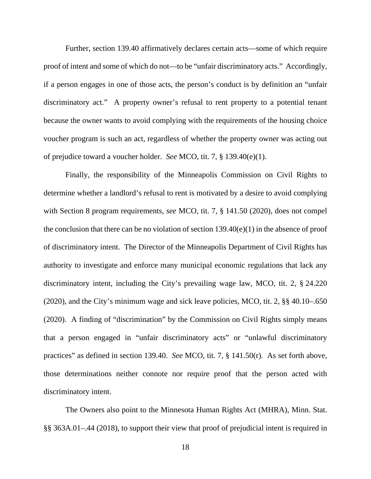Further, section 139.40 affirmatively declares certain acts—some of which require proof of intent and some of which do not—to be "unfair discriminatory acts." Accordingly, if a person engages in one of those acts, the person's conduct is by definition an "unfair discriminatory act." A property owner's refusal to rent property to a potential tenant because the owner wants to avoid complying with the requirements of the housing choice voucher program is such an act, regardless of whether the property owner was acting out of prejudice toward a voucher holder. *See* MCO, tit. 7, § 139.40(e)(1).

Finally, the responsibility of the Minneapolis Commission on Civil Rights to determine whether a landlord's refusal to rent is motivated by a desire to avoid complying with Section 8 program requirements, *see* MCO, tit. 7, § 141.50 (2020), does not compel the conclusion that there can be no violation of section  $139.40(e)(1)$  in the absence of proof of discriminatory intent. The Director of the Minneapolis Department of Civil Rights has authority to investigate and enforce many municipal economic regulations that lack any discriminatory intent, including the City's prevailing wage law, MCO, tit. 2, § 24.220 (2020), and the City's minimum wage and sick leave policies, MCO, tit. 2, §§ 40.10–.650 (2020). A finding of "discrimination" by the Commission on Civil Rights simply means that a person engaged in "unfair discriminatory acts" or "unlawful discriminatory practices" as defined in section 139.40. *See* MCO, tit. 7, § 141.50(r). As set forth above, those determinations neither connote nor require proof that the person acted with discriminatory intent.

The Owners also point to the Minnesota Human Rights Act (MHRA), Minn. Stat. §§ 363A.01–.44 (2018), to support their view that proof of prejudicial intent is required in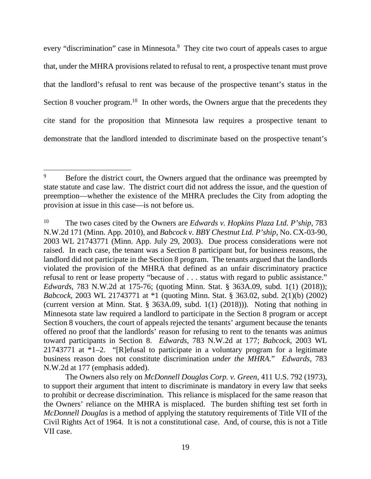every "discrimination" case in Minnesota.<sup>9</sup> They cite two court of appeals cases to argue that, under the MHRA provisions related to refusal to rent, a prospective tenant must prove that the landlord's refusal to rent was because of the prospective tenant's status in the Section 8 voucher program.<sup>10</sup> In other words, the Owners argue that the precedents they cite stand for the proposition that Minnesota law requires a prospective tenant to demonstrate that the landlord intended to discriminate based on the prospective tenant's

<sup>9</sup> Before the district court, the Owners argued that the ordinance was preempted by state statute and case law. The district court did not address the issue, and the question of preemption—whether the existence of the MHRA precludes the City from adopting the provision at issue in this case—is not before us.

<sup>10</sup> The two cases cited by the Owners are *Edwards v. Hopkins Plaza Ltd. P'ship*, 783 N.W.2d 171 (Minn. App. 2010), and *Babcock v. BBY Chestnut Ltd. P'ship*, No. CX-03-90, 2003 WL 21743771 (Minn. App. July 29, 2003). Due process considerations were not raised. In each case, the tenant was a Section 8 participant but, for business reasons, the landlord did not participate in the Section 8 program. The tenants argued that the landlords violated the provision of the MHRA that defined as an unfair discriminatory practice refusal to rent or lease property "because of . . . status with regard to public assistance." *Edwards*, 783 N.W.2d at 175-76; (quoting Minn. Stat. § 363A.09, subd. 1(1) (2018)); *Babcock*, 2003 WL 21743771 at \*1 (quoting Minn. Stat. § 363.02, subd. 2(1)(b) (2002) (current version at Minn. Stat. § 363A.09, subd. 1(1) (2018))). Noting that nothing in Minnesota state law required a landlord to participate in the Section 8 program or accept Section 8 vouchers, the court of appeals rejected the tenants' argument because the tenants offered no proof that the landlords' reason for refusing to rent to the tenants was animus toward participants in Section 8. *Edwards*, 783 N.W.2d at 177; *Babcock*, 2003 WL 21743771 at  $*1-2$ . "[R]efusal to participate in a voluntary program for a legitimate business reason does not constitute discrimination *under the MHRA.*" *Edwards*, 783 N.W.2d at 177 (emphasis added).

The Owners also rely on *McDonnell Douglas Corp. v. Green*, 411 U.S. 792 (1973), to support their argument that intent to discriminate is mandatory in every law that seeks to prohibit or decrease discrimination. This reliance is misplaced for the same reason that the Owners' reliance on the MHRA is misplaced. The burden shifting test set forth in *McDonnell Douglas* is a method of applying the statutory requirements of Title VII of the Civil Rights Act of 1964. It is not a constitutional case. And, of course, this is not a Title VII case.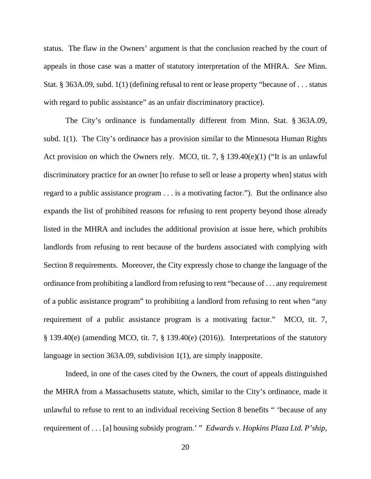status. The flaw in the Owners' argument is that the conclusion reached by the court of appeals in those case was a matter of statutory interpretation of the MHRA. *See* Minn. Stat. § 363A.09, subd. 1(1) (defining refusal to rent or lease property "because of . . . status with regard to public assistance" as an unfair discriminatory practice).

The City's ordinance is fundamentally different from Minn. Stat. § 363A.09, subd. 1(1). The City's ordinance has a provision similar to the Minnesota Human Rights Act provision on which the Owners rely. MCO, tit. 7, § 139.40(e)(1) ("It is an unlawful discriminatory practice for an owner [to refuse to sell or lease a property when] status with regard to a public assistance program . . . is a motivating factor."). But the ordinance also expands the list of prohibited reasons for refusing to rent property beyond those already listed in the MHRA and includes the additional provision at issue here, which prohibits landlords from refusing to rent because of the burdens associated with complying with Section 8 requirements. Moreover, the City expressly chose to change the language of the ordinance from prohibiting a landlord from refusing to rent "because of . . . any requirement of a public assistance program" to prohibiting a landlord from refusing to rent when "any requirement of a public assistance program is a motivating factor." MCO, tit. 7, § 139.40(e) (amending MCO, tit. 7, § 139.40(e) (2016)). Interpretations of the statutory language in section 363A.09, subdivision 1(1), are simply inapposite.

 Indeed, in one of the cases cited by the Owners, the court of appeals distinguished the MHRA from a Massachusetts statute, which, similar to the City's ordinance, made it unlawful to refuse to rent to an individual receiving Section 8 benefits " 'because of any requirement of . . . [a] housing subsidy program.' " *Edwards v. Hopkins Plaza Ltd. P'ship*,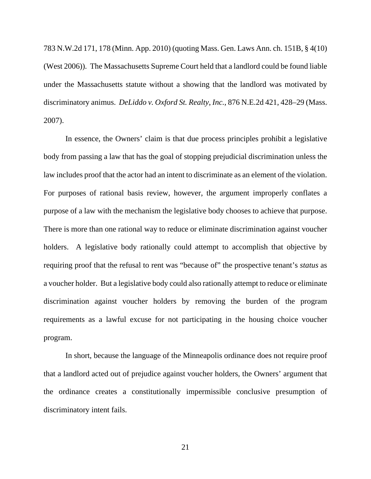783 N.W.2d 171, 178 (Minn. App. 2010) (quoting Mass. Gen. Laws Ann. ch. 151B, § 4(10) (West 2006)). The Massachusetts Supreme Court held that a landlord could be found liable under the Massachusetts statute without a showing that the landlord was motivated by discriminatory animus. *DeLiddo v. Oxford St. Realty*, *Inc.*, 876 N.E.2d 421, 428–29 (Mass. 2007).

In essence, the Owners' claim is that due process principles prohibit a legislative body from passing a law that has the goal of stopping prejudicial discrimination unless the law includes proof that the actor had an intent to discriminate as an element of the violation. For purposes of rational basis review, however, the argument improperly conflates a purpose of a law with the mechanism the legislative body chooses to achieve that purpose. There is more than one rational way to reduce or eliminate discrimination against voucher holders. A legislative body rationally could attempt to accomplish that objective by requiring proof that the refusal to rent was "because of" the prospective tenant's *status* as a voucher holder. But a legislative body could also rationally attempt to reduce or eliminate discrimination against voucher holders by removing the burden of the program requirements as a lawful excuse for not participating in the housing choice voucher program.

In short, because the language of the Minneapolis ordinance does not require proof that a landlord acted out of prejudice against voucher holders, the Owners' argument that the ordinance creates a constitutionally impermissible conclusive presumption of discriminatory intent fails.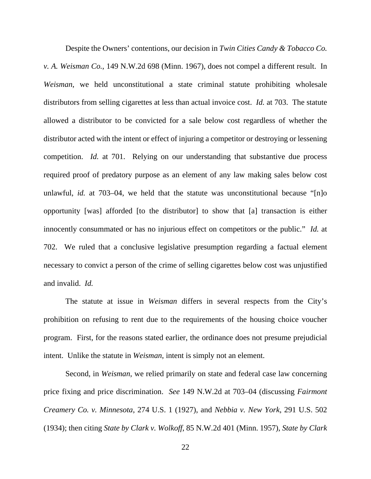Despite the Owners' contentions, our decision in *Twin Cities Candy & Tobacco Co. v. A. Weisman Co.*, 149 N.W.2d 698 (Minn. 1967), does not compel a different result. In *Weisman*, we held unconstitutional a state criminal statute prohibiting wholesale distributors from selling cigarettes at less than actual invoice cost. *Id.* at 703. The statute allowed a distributor to be convicted for a sale below cost regardless of whether the distributor acted with the intent or effect of injuring a competitor or destroying or lessening competition. *Id.* at 701. Relying on our understanding that substantive due process required proof of predatory purpose as an element of any law making sales below cost unlawful, *id.* at 703–04, we held that the statute was unconstitutional because "[n]o opportunity [was] afforded [to the distributor] to show that [a] transaction is either innocently consummated or has no injurious effect on competitors or the public." *Id.* at 702. We ruled that a conclusive legislative presumption regarding a factual element necessary to convict a person of the crime of selling cigarettes below cost was unjustified and invalid. *Id.*

 The statute at issue in *Weisman* differs in several respects from the City's prohibition on refusing to rent due to the requirements of the housing choice voucher program. First, for the reasons stated earlier, the ordinance does not presume prejudicial intent. Unlike the statute in *Weisman*, intent is simply not an element.

 Second, in *Weisman*, we relied primarily on state and federal case law concerning price fixing and price discrimination. *See* 149 N.W.2d at 703–04 (discussing *Fairmont Creamery Co. v. Minnesota*, 274 U.S. 1 (1927), and *Nebbia v. New York*, 291 U.S. 502 (1934); then citing *State by Clark v. Wolkoff*, 85 N.W.2d 401 (Minn. 1957), *State by Clark*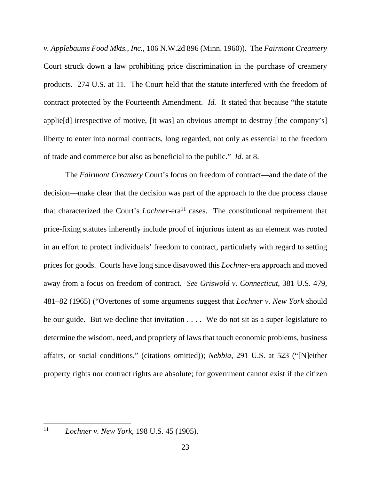*v. Applebaums Food Mkts., Inc.*, 106 N.W.2d 896 (Minn. 1960)).The *Fairmont Creamery* Court struck down a law prohibiting price discrimination in the purchase of creamery products. 274 U.S. at 11. The Court held that the statute interfered with the freedom of contract protected by the Fourteenth Amendment. *Id.* It stated that because "the statute applie[d] irrespective of motive, [it was] an obvious attempt to destroy [the company's] liberty to enter into normal contracts, long regarded, not only as essential to the freedom of trade and commerce but also as beneficial to the public." *Id.* at 8.

 The *Fairmont Creamery* Court's focus on freedom of contract—and the date of the decision—make clear that the decision was part of the approach to the due process clause that characterized the Court's *Lochner*-era<sup>11</sup> cases. The constitutional requirement that price-fixing statutes inherently include proof of injurious intent as an element was rooted in an effort to protect individuals' freedom to contract, particularly with regard to setting prices for goods. Courts have long since disavowed this *Lochner*-era approach and moved away from a focus on freedom of contract. *See Griswold v. Connecticut*, 381 U.S. 479, 481–82 (1965) ("Overtones of some arguments suggest that *Lochner v. New York* should be our guide. But we decline that invitation . . . . We do not sit as a super-legislature to determine the wisdom, need, and propriety of laws that touch economic problems, business affairs, or social conditions." (citations omitted)); *Nebbia*, 291 U.S. at 523 ("[N]either property rights nor contract rights are absolute; for government cannot exist if the citizen

<sup>11</sup> *Lochner v. New York*, 198 U.S. 45 (1905).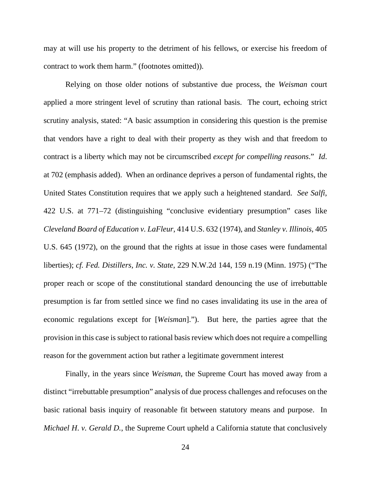may at will use his property to the detriment of his fellows, or exercise his freedom of contract to work them harm." (footnotes omitted)).

Relying on those older notions of substantive due process, the *Weisman* court applied a more stringent level of scrutiny than rational basis. The court, echoing strict scrutiny analysis, stated: "A basic assumption in considering this question is the premise that vendors have a right to deal with their property as they wish and that freedom to contract is a liberty which may not be circumscribed *except for compelling reasons*." *Id*. at 702 (emphasis added). When an ordinance deprives a person of fundamental rights, the United States Constitution requires that we apply such a heightened standard. *See Salfi*, 422 U.S. at 771–72 (distinguishing "conclusive evidentiary presumption" cases like *Cleveland Board of Education v. LaFleur*, 414 U.S. 632 (1974), and *Stanley v. Illinois*, 405 U.S. 645 (1972), on the ground that the rights at issue in those cases were fundamental liberties); *cf. Fed. Distillers, Inc. v. State*, 229 N.W.2d 144, 159 n.19 (Minn. 1975) ("The proper reach or scope of the constitutional standard denouncing the use of irrebuttable presumption is far from settled since we find no cases invalidating its use in the area of economic regulations except for [*Weisman*]."). But here, the parties agree that the provision in this case is subject to rational basis review which does not require a compelling reason for the government action but rather a legitimate government interest

Finally, in the years since *Weisman*, the Supreme Court has moved away from a distinct "irrebuttable presumption" analysis of due process challenges and refocuses on the basic rational basis inquiry of reasonable fit between statutory means and purpose. In *Michael H*. *v. Gerald D.*, the Supreme Court upheld a California statute that conclusively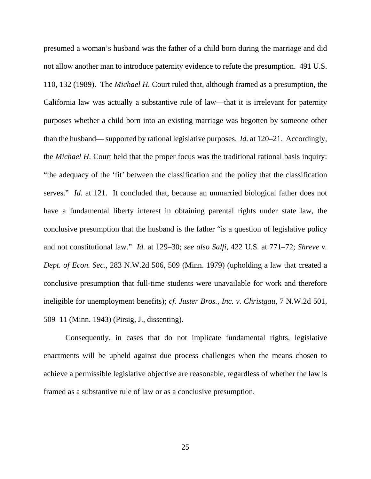presumed a woman's husband was the father of a child born during the marriage and did not allow another man to introduce paternity evidence to refute the presumption. 491 U.S. 110, 132 (1989). The *Michael H.* Court ruled that, although framed as a presumption, the California law was actually a substantive rule of law—that it is irrelevant for paternity purposes whether a child born into an existing marriage was begotten by someone other than the husband— supported by rational legislative purposes. *Id.* at 120–21. Accordingly, the *Michael H.* Court held that the proper focus was the traditional rational basis inquiry: "the adequacy of the 'fit' between the classification and the policy that the classification serves." *Id.* at 121. It concluded that, because an unmarried biological father does not have a fundamental liberty interest in obtaining parental rights under state law, the conclusive presumption that the husband is the father "is a question of legislative policy and not constitutional law." *Id.* at 129–30; *see also Salfi*, 422 U.S. at 771–72; *Shreve v. Dept. of Econ. Sec.*, 283 N.W.2d 506, 509 (Minn. 1979) (upholding a law that created a conclusive presumption that full-time students were unavailable for work and therefore ineligible for unemployment benefits); *cf. Juster Bros., Inc. v. Christgau*, 7 N.W.2d 501, 509–11 (Minn. 1943) (Pirsig, J., dissenting).

Consequently, in cases that do not implicate fundamental rights, legislative enactments will be upheld against due process challenges when the means chosen to achieve a permissible legislative objective are reasonable, regardless of whether the law is framed as a substantive rule of law or as a conclusive presumption.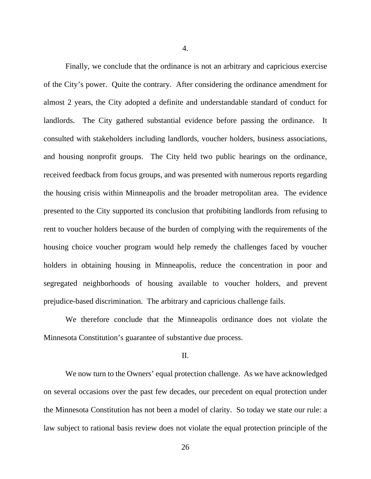4.

Finally, we conclude that the ordinance is not an arbitrary and capricious exercise of the City's power. Quite the contrary. After considering the ordinance amendment for almost 2 years, the City adopted a definite and understandable standard of conduct for landlords. The City gathered substantial evidence before passing the ordinance. It consulted with stakeholders including landlords, voucher holders, business associations, and housing nonprofit groups. The City held two public hearings on the ordinance, received feedback from focus groups, and was presented with numerous reports regarding the housing crisis within Minneapolis and the broader metropolitan area. The evidence presented to the City supported its conclusion that prohibiting landlords from refusing to rent to voucher holders because of the burden of complying with the requirements of the housing choice voucher program would help remedy the challenges faced by voucher holders in obtaining housing in Minneapolis, reduce the concentration in poor and segregated neighborhoods of housing available to voucher holders, and prevent prejudice-based discrimination. The arbitrary and capricious challenge fails.

We therefore conclude that the Minneapolis ordinance does not violate the Minnesota Constitution's guarantee of substantive due process.

### II.

 We now turn to the Owners' equal protection challenge. As we have acknowledged on several occasions over the past few decades, our precedent on equal protection under the Minnesota Constitution has not been a model of clarity. So today we state our rule: a law subject to rational basis review does not violate the equal protection principle of the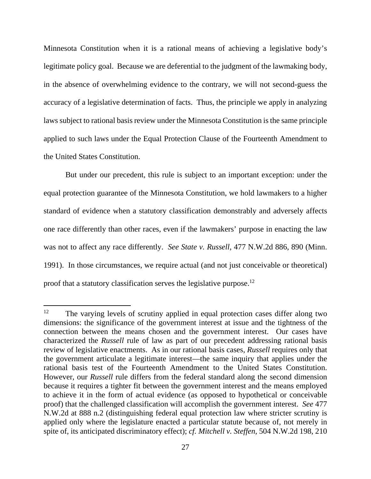Minnesota Constitution when it is a rational means of achieving a legislative body's legitimate policy goal. Because we are deferential to the judgment of the lawmaking body, in the absence of overwhelming evidence to the contrary, we will not second-guess the accuracy of a legislative determination of facts. Thus, the principle we apply in analyzing laws subject to rational basis review under the Minnesota Constitution is the same principle applied to such laws under the Equal Protection Clause of the Fourteenth Amendment to the United States Constitution.

But under our precedent, this rule is subject to an important exception: under the equal protection guarantee of the Minnesota Constitution, we hold lawmakers to a higher standard of evidence when a statutory classification demonstrably and adversely affects one race differently than other races, even if the lawmakers' purpose in enacting the law was not to affect any race differently. *See State v. Russell*, 477 N.W.2d 886, 890 (Minn. 1991). In those circumstances, we require actual (and not just conceivable or theoretical) proof that a statutory classification serves the legislative purpose.12

<sup>&</sup>lt;sup>12</sup> The varying levels of scrutiny applied in equal protection cases differ along two dimensions: the significance of the government interest at issue and the tightness of the connection between the means chosen and the government interest. Our cases have characterized the *Russell* rule of law as part of our precedent addressing rational basis review of legislative enactments. As in our rational basis cases, *Russell* requires only that the government articulate a legitimate interest—the same inquiry that applies under the rational basis test of the Fourteenth Amendment to the United States Constitution. However, our *Russell* rule differs from the federal standard along the second dimension because it requires a tighter fit between the government interest and the means employed to achieve it in the form of actual evidence (as opposed to hypothetical or conceivable proof) that the challenged classification will accomplish the government interest. *See* 477 N.W.2d at 888 n.2 (distinguishing federal equal protection law where stricter scrutiny is applied only where the legislature enacted a particular statute because of, not merely in spite of, its anticipated discriminatory effect); *cf. Mitchell v. Steffen*, 504 N.W.2d 198, 210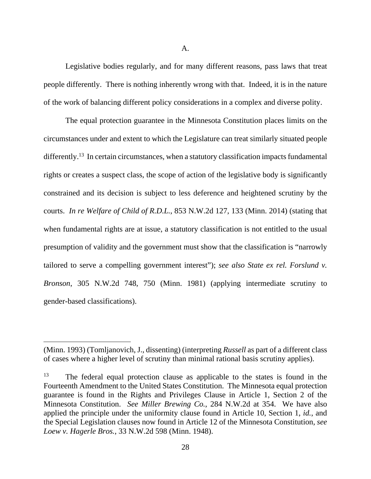Legislative bodies regularly, and for many different reasons, pass laws that treat people differently. There is nothing inherently wrong with that. Indeed, it is in the nature of the work of balancing different policy considerations in a complex and diverse polity.

 The equal protection guarantee in the Minnesota Constitution places limits on the circumstances under and extent to which the Legislature can treat similarly situated people differently.<sup>13</sup> In certain circumstances, when a statutory classification impacts fundamental rights or creates a suspect class, the scope of action of the legislative body is significantly constrained and its decision is subject to less deference and heightened scrutiny by the courts. *In re Welfare of Child of R.D.L.*, 853 N.W.2d 127, 133 (Minn. 2014) (stating that when fundamental rights are at issue, a statutory classification is not entitled to the usual presumption of validity and the government must show that the classification is "narrowly tailored to serve a compelling government interest"); *see also State ex rel. Forslund v. Bronson*, 305 N.W.2d 748, 750 (Minn. 1981) (applying intermediate scrutiny to gender-based classifications).

<sup>(</sup>Minn. 1993) (Tomljanovich, J., dissenting) (interpreting *Russell* as part of a different class of cases where a higher level of scrutiny than minimal rational basis scrutiny applies).

<sup>&</sup>lt;sup>13</sup> The federal equal protection clause as applicable to the states is found in the Fourteenth Amendment to the United States Constitution. The Minnesota equal protection guarantee is found in the Rights and Privileges Clause in Article 1, Section 2 of the Minnesota Constitution. *See Miller Brewing Co.*, 284 N.W.2d at 354. We have also applied the principle under the uniformity clause found in Article 10, Section 1, *id.*, and the Special Legislation clauses now found in Article 12 of the Minnesota Constitution, *see Loew v. Hagerle Bros.*, 33 N.W.2d 598 (Minn. 1948).

 <sup>28</sup>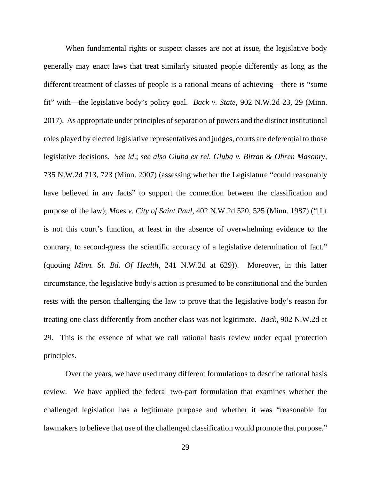When fundamental rights or suspect classes are not at issue, the legislative body generally may enact laws that treat similarly situated people differently as long as the different treatment of classes of people is a rational means of achieving—there is "some fit" with—the legislative body's policy goal. *Back v. State*, 902 N.W.2d 23, 29 (Minn. 2017). As appropriate under principles of separation of powers and the distinct institutional roles played by elected legislative representatives and judges, courts are deferential to those legislative decisions. *See id*.; *see also Gluba ex rel. Gluba v. Bitzan & Ohren Masonry*, 735 N.W.2d 713, 723 (Minn. 2007) (assessing whether the Legislature "could reasonably have believed in any facts" to support the connection between the classification and purpose of the law); *Moes v. City of Saint Paul*, 402 N.W.2d 520, 525 (Minn. 1987) ("[I]t is not this court's function, at least in the absence of overwhelming evidence to the contrary, to second-guess the scientific accuracy of a legislative determination of fact." (quoting *Minn. St. Bd. Of Health*, 241 N.W.2d at 629)). Moreover, in this latter circumstance, the legislative body's action is presumed to be constitutional and the burden rests with the person challenging the law to prove that the legislative body's reason for treating one class differently from another class was not legitimate. *Back*, 902 N.W.2d at 29. This is the essence of what we call rational basis review under equal protection principles.

 Over the years, we have used many different formulations to describe rational basis review. We have applied the federal two-part formulation that examines whether the challenged legislation has a legitimate purpose and whether it was "reasonable for lawmakers to believe that use of the challenged classification would promote that purpose."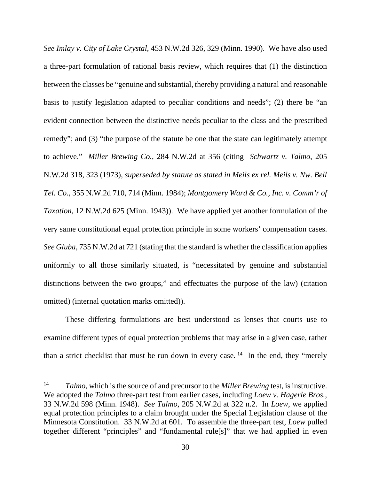*See Imlay v. City of Lake Crystal*, 453 N.W.2d 326, 329 (Minn. 1990). We have also used a three-part formulation of rational basis review, which requires that (1) the distinction between the classes be "genuine and substantial, thereby providing a natural and reasonable basis to justify legislation adapted to peculiar conditions and needs"; (2) there be "an evident connection between the distinctive needs peculiar to the class and the prescribed remedy"; and (3) "the purpose of the statute be one that the state can legitimately attempt to achieve." *Miller Brewing Co.*, 284 N.W.2d at 356 (citing *Schwartz v. Talmo*, 205 N.W.2d 318, 323 (1973), *superseded by statute as stated in Meils ex rel. Meils v. Nw. Bell Tel. Co.*, 355 N.W.2d 710, 714 (Minn. 1984); *Montgomery Ward & Co., Inc. v. Comm'r of Taxation*, 12 N.W.2d 625 (Minn. 1943)). We have applied yet another formulation of the very same constitutional equal protection principle in some workers' compensation cases. *See Gluba*, 735 N.W.2d at 721 (stating that the standard is whether the classification applies uniformly to all those similarly situated, is "necessitated by genuine and substantial distinctions between the two groups," and effectuates the purpose of the law) (citation omitted) (internal quotation marks omitted)).

 These differing formulations are best understood as lenses that courts use to examine different types of equal protection problems that may arise in a given case, rather than a strict checklist that must be run down in every case.  $14$  In the end, they "merely

<sup>14</sup> *Talmo*, which is the source of and precursor to the *Miller Brewing* test, is instructive. We adopted the *Talmo* three-part test from earlier cases, including *Loew v. Hagerle Bros.*, 33 N.W.2d 598 (Minn. 1948). *See Talmo*, 205 N.W.2d at 322 n.2. In *Loew*, we applied equal protection principles to a claim brought under the Special Legislation clause of the Minnesota Constitution. 33 N.W.2d at 601. To assemble the three-part test, *Loew* pulled together different "principles" and "fundamental rule[s]" that we had applied in even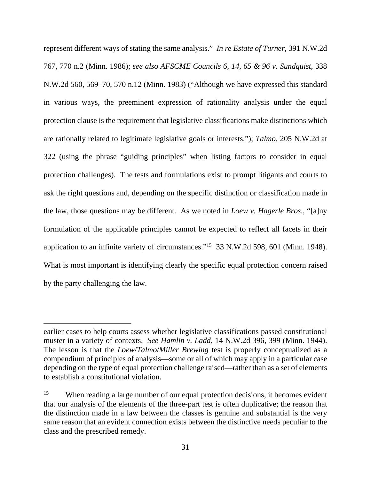represent different ways of stating the same analysis." *In re Estate of Turner*, 391 N.W.2d 767, 770 n.2 (Minn. 1986); *see also AFSCME Councils 6, 14, 65 & 96 v. Sundquist*, 338 N.W.2d 560, 569–70, 570 n.12 (Minn. 1983) ("Although we have expressed this standard in various ways, the preeminent expression of rationality analysis under the equal protection clause is the requirement that legislative classifications make distinctions which are rationally related to legitimate legislative goals or interests."); *Talmo*, 205 N.W.2d at 322 (using the phrase "guiding principles" when listing factors to consider in equal protection challenges). The tests and formulations exist to prompt litigants and courts to ask the right questions and, depending on the specific distinction or classification made in the law, those questions may be different. As we noted in *Loew v. Hagerle Bros*., "[a]ny formulation of the applicable principles cannot be expected to reflect all facets in their application to an infinite variety of circumstances."15 33 N.W.2d 598, 601 (Minn. 1948). What is most important is identifying clearly the specific equal protection concern raised by the party challenging the law.

earlier cases to help courts assess whether legislative classifications passed constitutional muster in a variety of contexts. *See Hamlin v. Ladd*, 14 N.W.2d 396, 399 (Minn. 1944). The lesson is that the *Loew*/*Talmo*/*Miller Brewing* test is properly conceptualized as a compendium of principles of analysis—some or all of which may apply in a particular case depending on the type of equal protection challenge raised—rather than as a set of elements to establish a constitutional violation.

<sup>&</sup>lt;sup>15</sup> When reading a large number of our equal protection decisions, it becomes evident that our analysis of the elements of the three-part test is often duplicative; the reason that the distinction made in a law between the classes is genuine and substantial is the very same reason that an evident connection exists between the distinctive needs peculiar to the class and the prescribed remedy.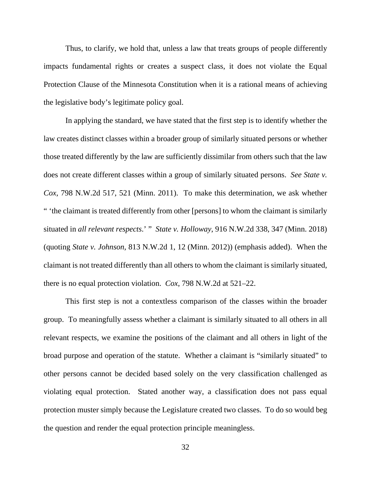Thus, to clarify, we hold that, unless a law that treats groups of people differently impacts fundamental rights or creates a suspect class, it does not violate the Equal Protection Clause of the Minnesota Constitution when it is a rational means of achieving the legislative body's legitimate policy goal.

 In applying the standard, we have stated that the first step is to identify whether the law creates distinct classes within a broader group of similarly situated persons or whether those treated differently by the law are sufficiently dissimilar from others such that the law does not create different classes within a group of similarly situated persons. *See State v. Cox*, 798 N.W.2d 517, 521 (Minn. 2011). To make this determination, we ask whether " 'the claimant is treated differently from other [persons] to whom the claimant is similarly situated in *all relevant respects*.' " *State v. Holloway*, 916 N.W.2d 338, 347 (Minn. 2018) (quoting *State v. Johnson*, 813 N.W.2d 1, 12 (Minn. 2012)) (emphasis added). When the claimant is not treated differently than all others to whom the claimant is similarly situated, there is no equal protection violation. *Cox*, 798 N.W.2d at 521–22.

This first step is not a contextless comparison of the classes within the broader group. To meaningfully assess whether a claimant is similarly situated to all others in all relevant respects, we examine the positions of the claimant and all others in light of the broad purpose and operation of the statute. Whether a claimant is "similarly situated" to other persons cannot be decided based solely on the very classification challenged as violating equal protection. Stated another way, a classification does not pass equal protection muster simply because the Legislature created two classes. To do so would beg the question and render the equal protection principle meaningless.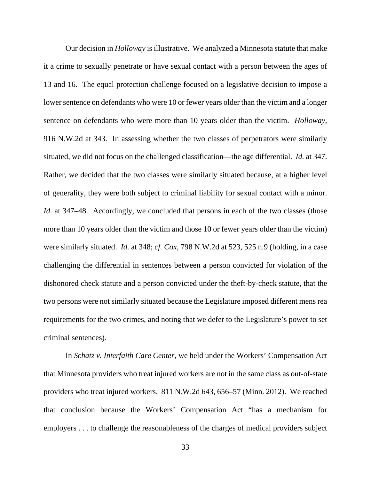Our decision in *Holloway* is illustrative. We analyzed a Minnesota statute that make it a crime to sexually penetrate or have sexual contact with a person between the ages of 13 and 16. The equal protection challenge focused on a legislative decision to impose a lower sentence on defendants who were 10 or fewer years older than the victim and a longer sentence on defendants who were more than 10 years older than the victim. *Holloway*, 916 N.W.2d at 343. In assessing whether the two classes of perpetrators were similarly situated, we did not focus on the challenged classification—the age differential. *Id.* at 347. Rather, we decided that the two classes were similarly situated because, at a higher level of generality, they were both subject to criminal liability for sexual contact with a minor. *Id.* at 347–48. Accordingly, we concluded that persons in each of the two classes (those more than 10 years older than the victim and those 10 or fewer years older than the victim) were similarly situated. *Id.* at 348; *cf. Cox*, 798 N.W.2d at 523, 525 n.9 (holding, in a case challenging the differential in sentences between a person convicted for violation of the dishonored check statute and a person convicted under the theft-by-check statute, that the two persons were not similarly situated because the Legislature imposed different mens rea requirements for the two crimes, and noting that we defer to the Legislature's power to set criminal sentences).

In *Schatz v. Interfaith Care Center*, we held under the Workers' Compensation Act that Minnesota providers who treat injured workers are not in the same class as out-of-state providers who treat injured workers. 811 N.W.2d 643, 656–57 (Minn. 2012). We reached that conclusion because the Workers' Compensation Act "has a mechanism for employers . . . to challenge the reasonableness of the charges of medical providers subject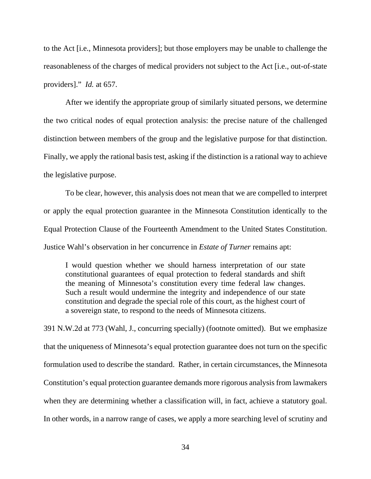to the Act [i.e., Minnesota providers]; but those employers may be unable to challenge the reasonableness of the charges of medical providers not subject to the Act [i.e., out-of-state providers]." *Id.* at 657.

 After we identify the appropriate group of similarly situated persons, we determine the two critical nodes of equal protection analysis: the precise nature of the challenged distinction between members of the group and the legislative purpose for that distinction. Finally, we apply the rational basis test, asking if the distinction is a rational way to achieve the legislative purpose.

 To be clear, however, this analysis does not mean that we are compelled to interpret or apply the equal protection guarantee in the Minnesota Constitution identically to the Equal Protection Clause of the Fourteenth Amendment to the United States Constitution. Justice Wahl's observation in her concurrence in *Estate of Turner* remains apt:

I would question whether we should harness interpretation of our state constitutional guarantees of equal protection to federal standards and shift the meaning of Minnesota's constitution every time federal law changes. Such a result would undermine the integrity and independence of our state constitution and degrade the special role of this court, as the highest court of a sovereign state, to respond to the needs of Minnesota citizens.

391 N.W.2d at 773 (Wahl, J., concurring specially) (footnote omitted). But we emphasize that the uniqueness of Minnesota's equal protection guarantee does not turn on the specific formulation used to describe the standard. Rather, in certain circumstances, the Minnesota Constitution's equal protection guarantee demands more rigorous analysis from lawmakers when they are determining whether a classification will, in fact, achieve a statutory goal. In other words, in a narrow range of cases, we apply a more searching level of scrutiny and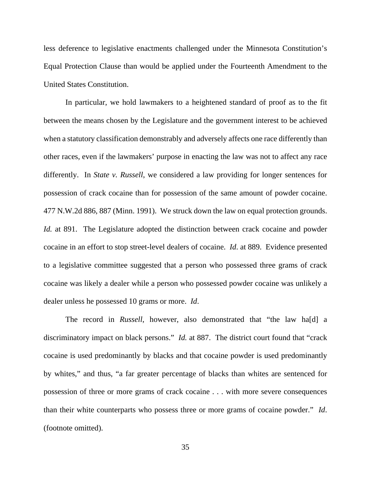less deference to legislative enactments challenged under the Minnesota Constitution's Equal Protection Clause than would be applied under the Fourteenth Amendment to the United States Constitution.

 In particular, we hold lawmakers to a heightened standard of proof as to the fit between the means chosen by the Legislature and the government interest to be achieved when a statutory classification demonstrably and adversely affects one race differently than other races, even if the lawmakers' purpose in enacting the law was not to affect any race differently. In *State v. Russell*, we considered a law providing for longer sentences for possession of crack cocaine than for possession of the same amount of powder cocaine. 477 N.W.2d 886, 887 (Minn. 1991). We struck down the law on equal protection grounds. *Id.* at 891. The Legislature adopted the distinction between crack cocaine and powder cocaine in an effort to stop street-level dealers of cocaine. *Id*. at 889. Evidence presented to a legislative committee suggested that a person who possessed three grams of crack cocaine was likely a dealer while a person who possessed powder cocaine was unlikely a dealer unless he possessed 10 grams or more. *Id*.

The record in *Russell*, however, also demonstrated that "the law ha[d] a discriminatory impact on black persons." *Id.* at 887. The district court found that "crack" cocaine is used predominantly by blacks and that cocaine powder is used predominantly by whites," and thus, "a far greater percentage of blacks than whites are sentenced for possession of three or more grams of crack cocaine . . . with more severe consequences than their white counterparts who possess three or more grams of cocaine powder." *Id*. (footnote omitted).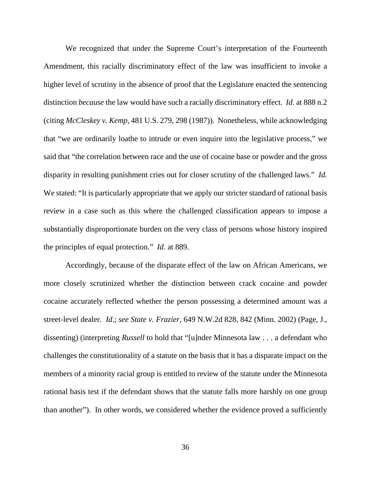We recognized that under the Supreme Court's interpretation of the Fourteenth Amendment, this racially discriminatory effect of the law was insufficient to invoke a higher level of scrutiny in the absence of proof that the Legislature enacted the sentencing distinction *because* the law would have such a racially discriminatory effect. *Id*. at 888 n.2 (citing *McCleskey v. Kemp*, 481 U.S. 279, 298 (1987)). Nonetheless, while acknowledging that "we are ordinarily loathe to intrude or even inquire into the legislative process," we said that "the correlation between race and the use of cocaine base or powder and the gross disparity in resulting punishment cries out for closer scrutiny of the challenged laws." *Id.* We stated: "It is particularly appropriate that we apply our stricter standard of rational basis review in a case such as this where the challenged classification appears to impose a substantially disproportionate burden on the very class of persons whose history inspired the principles of equal protection." *Id.* at 889.

Accordingly, because of the disparate effect of the law on African Americans, we more closely scrutinized whether the distinction between crack cocaine and powder cocaine accurately reflected whether the person possessing a determined amount was a street-level dealer. *Id*.; *see State v. Frazier*, 649 N.W.2d 828, 842 (Minn. 2002) (Page, J., dissenting) (interpreting *Russell* to hold that "[u]nder Minnesota law . . . a defendant who challenges the constitutionality of a statute on the basis that it has a disparate impact on the members of a minority racial group is entitled to review of the statute under the Minnesota rational basis test if the defendant shows that the statute falls more harshly on one group than another"). In other words, we considered whether the evidence proved a sufficiently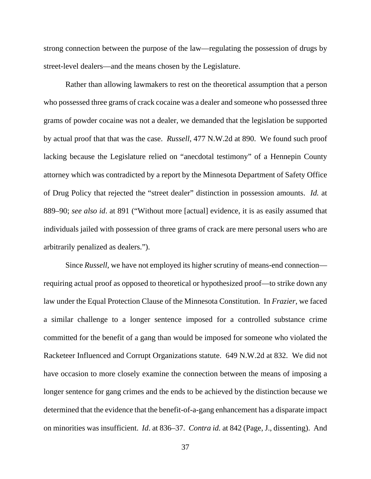strong connection between the purpose of the law—regulating the possession of drugs by street-level dealers—and the means chosen by the Legislature.

Rather than allowing lawmakers to rest on the theoretical assumption that a person who possessed three grams of crack cocaine was a dealer and someone who possessed three grams of powder cocaine was not a dealer, we demanded that the legislation be supported by actual proof that that was the case. *Russell*, 477 N.W.2d at 890. We found such proof lacking because the Legislature relied on "anecdotal testimony" of a Hennepin County attorney which was contradicted by a report by the Minnesota Department of Safety Office of Drug Policy that rejected the "street dealer" distinction in possession amounts. *Id.* at 889–90; *see also id*. at 891 ("Without more [actual] evidence, it is as easily assumed that individuals jailed with possession of three grams of crack are mere personal users who are arbitrarily penalized as dealers.").

Since *Russell*, we have not employed its higher scrutiny of means-end connection requiring actual proof as opposed to theoretical or hypothesized proof—to strike down any law under the Equal Protection Clause of the Minnesota Constitution. In *Frazier*, we faced a similar challenge to a longer sentence imposed for a controlled substance crime committed for the benefit of a gang than would be imposed for someone who violated the Racketeer Influenced and Corrupt Organizations statute. 649 N.W.2d at 832. We did not have occasion to more closely examine the connection between the means of imposing a longer sentence for gang crimes and the ends to be achieved by the distinction because we determined that the evidence that the benefit-of-a-gang enhancement has a disparate impact on minorities was insufficient. *Id*. at 836–37. *Contra id.* at 842 (Page, J., dissenting). And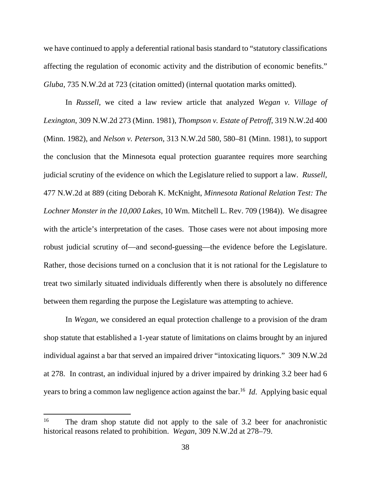we have continued to apply a deferential rational basis standard to "statutory classifications affecting the regulation of economic activity and the distribution of economic benefits." *Gluba*, 735 N.W.2d at 723 (citation omitted) (internal quotation marks omitted).

In *Russell*, we cited a law review article that analyzed *Wegan v. Village of Lexington*, 309 N.W.2d 273 (Minn. 1981), *Thompson v. Estate of Petroff*, 319 N.W.2d 400 (Minn. 1982), and *Nelson v. Peterson*, 313 N.W.2d 580, 580–81 (Minn. 1981), to support the conclusion that the Minnesota equal protection guarantee requires more searching judicial scrutiny of the evidence on which the Legislature relied to support a law. *Russell*, 477 N.W.2d at 889 (citing Deborah K. McKnight, *Minnesota Rational Relation Test: The Lochner Monster in the 10,000 Lakes*, 10 Wm. Mitchell L. Rev. 709 (1984)). We disagree with the article's interpretation of the cases. Those cases were not about imposing more robust judicial scrutiny of—and second-guessing—the evidence before the Legislature. Rather, those decisions turned on a conclusion that it is not rational for the Legislature to treat two similarly situated individuals differently when there is absolutely no difference between them regarding the purpose the Legislature was attempting to achieve.

In *Wegan*, we considered an equal protection challenge to a provision of the dram shop statute that established a 1-year statute of limitations on claims brought by an injured individual against a bar that served an impaired driver "intoxicating liquors." 309 N.W.2d at 278. In contrast, an individual injured by a driver impaired by drinking 3.2 beer had 6 years to bring a common law negligence action against the bar.16 *Id*. Applying basic equal

<sup>&</sup>lt;sup>16</sup> The dram shop statute did not apply to the sale of 3.2 beer for anachronistic historical reasons related to prohibition. *Wegan*, 309 N.W.2d at 278–79.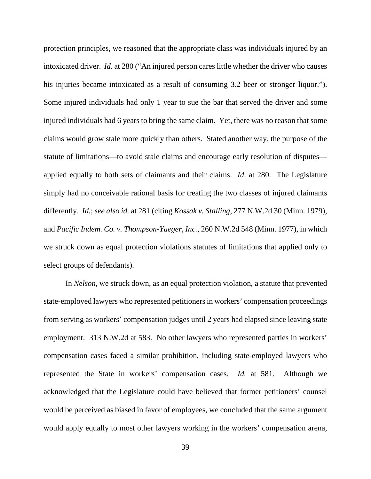protection principles, we reasoned that the appropriate class was individuals injured by an intoxicated driver. *Id*. at 280 ("An injured person cares little whether the driver who causes his injuries became intoxicated as a result of consuming 3.2 beer or stronger liquor."). Some injured individuals had only 1 year to sue the bar that served the driver and some injured individuals had 6 years to bring the same claim. Yet, there was no reason that some claims would grow stale more quickly than others. Stated another way, the purpose of the statute of limitations—to avoid stale claims and encourage early resolution of disputes applied equally to both sets of claimants and their claims. *Id*. at 280. The Legislature simply had no conceivable rational basis for treating the two classes of injured claimants differently. *Id.*; *see also id.* at 281 (citing *Kossak v. Stalling*, 277 N.W.2d 30 (Minn. 1979), and *Pacific Indem. Co. v. Thompson-Yaeger*, *Inc.*, 260 N.W.2d 548 (Minn. 1977), in which we struck down as equal protection violations statutes of limitations that applied only to select groups of defendants).

In *Nelson*, we struck down, as an equal protection violation, a statute that prevented state-employed lawyers who represented petitioners in workers' compensation proceedings from serving as workers' compensation judges until 2 years had elapsed since leaving state employment. 313 N.W.2d at 583. No other lawyers who represented parties in workers' compensation cases faced a similar prohibition, including state-employed lawyers who represented the State in workers' compensation cases. *Id.* at 581. Although we acknowledged that the Legislature could have believed that former petitioners' counsel would be perceived as biased in favor of employees, we concluded that the same argument would apply equally to most other lawyers working in the workers' compensation arena,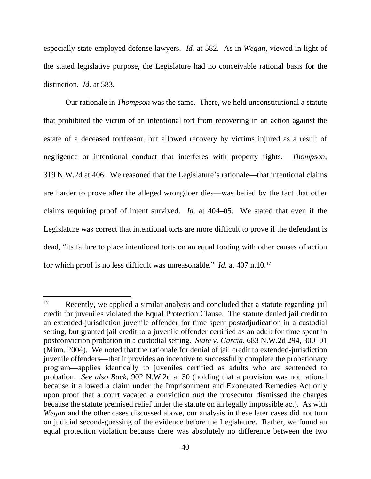especially state-employed defense lawyers. *Id.* at 582. As in *Wegan*, viewed in light of the stated legislative purpose, the Legislature had no conceivable rational basis for the distinction. *Id.* at 583.

Our rationale in *Thompson* was the same. There, we held unconstitutional a statute that prohibited the victim of an intentional tort from recovering in an action against the estate of a deceased tortfeasor, but allowed recovery by victims injured as a result of negligence or intentional conduct that interferes with property rights. *Thompson*, 319 N.W.2d at 406. We reasoned that the Legislature's rationale—that intentional claims are harder to prove after the alleged wrongdoer dies—was belied by the fact that other claims requiring proof of intent survived. *Id.* at 404–05. We stated that even if the Legislature was correct that intentional torts are more difficult to prove if the defendant is dead, "its failure to place intentional torts on an equal footing with other causes of action for which proof is no less difficult was unreasonable." *Id.* at 407 n.10.17

<sup>&</sup>lt;sup>17</sup> Recently, we applied a similar analysis and concluded that a statute regarding jail credit for juveniles violated the Equal Protection Clause. The statute denied jail credit to an extended-jurisdiction juvenile offender for time spent postadjudication in a custodial setting, but granted jail credit to a juvenile offender certified as an adult for time spent in postconviction probation in a custodial setting. *State v. Garcia*, 683 N.W.2d 294, 300–01 (Minn. 2004). We noted that the rationale for denial of jail credit to extended-jurisdiction juvenile offenders—that it provides an incentive to successfully complete the probationary program—applies identically to juveniles certified as adults who are sentenced to probation. *See also Back*, 902 N.W.2d at 30 (holding that a provision was not rational because it allowed a claim under the Imprisonment and Exonerated Remedies Act only upon proof that a court vacated a conviction *and* the prosecutor dismissed the charges because the statute premised relief under the statute on an legally impossible act). As with *Wegan* and the other cases discussed above, our analysis in these later cases did not turn on judicial second-guessing of the evidence before the Legislature. Rather, we found an equal protection violation because there was absolutely no difference between the two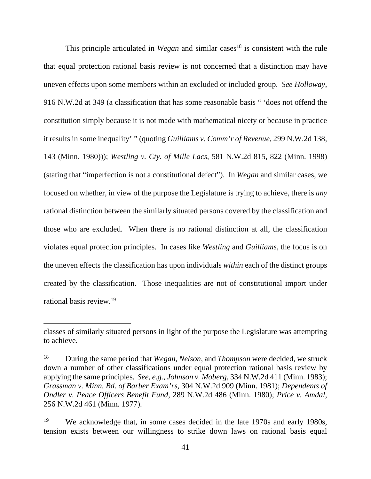This principle articulated in *Wegan* and similar cases<sup>18</sup> is consistent with the rule that equal protection rational basis review is not concerned that a distinction may have uneven effects upon some members within an excluded or included group. *See Holloway*, 916 N.W.2d at 349 (a classification that has some reasonable basis " 'does not offend the constitution simply because it is not made with mathematical nicety or because in practice it results in some inequality' " (quoting *Guilliams v. Comm'r of Revenue*, 299 N.W.2d 138, 143 (Minn. 1980))); *Westling v. Cty. of Mille Lacs*, 581 N.W.2d 815, 822 (Minn. 1998) (stating that "imperfection is not a constitutional defect"). In *Wegan* and similar cases, we focused on whether, in view of the purpose the Legislature is trying to achieve, there is *any* rational distinction between the similarly situated persons covered by the classification and those who are excluded. When there is no rational distinction at all, the classification violates equal protection principles. In cases like *Westling* and *Guilliams*, the focus is on the uneven effects the classification has upon individuals *within* each of the distinct groups created by the classification. Those inequalities are not of constitutional import under rational basis review.19

classes of similarly situated persons in light of the purpose the Legislature was attempting to achieve.

<sup>18</sup> During the same period that *Wegan, Nelson*, and *Thompson* were decided, we struck down a number of other classifications under equal protection rational basis review by applying the same principles. *See, e.g.*, *Johnson v. Moberg*, 334 N.W.2d 411 (Minn. 1983); *Grassman v. Minn. Bd. of Barber Exam'rs*, 304 N.W.2d 909 (Minn. 1981); *Dependents of Ondler v. Peace Officers Benefit Fund*, 289 N.W.2d 486 (Minn. 1980); *Price v. Amdal*, 256 N.W.2d 461 (Minn. 1977).

<sup>&</sup>lt;sup>19</sup> We acknowledge that, in some cases decided in the late 1970s and early 1980s, tension exists between our willingness to strike down laws on rational basis equal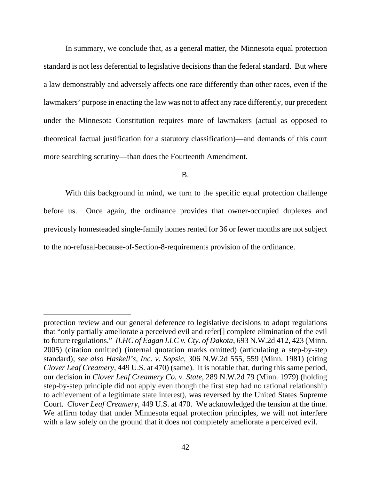In summary, we conclude that, as a general matter, the Minnesota equal protection standard is not less deferential to legislative decisions than the federal standard. But where a law demonstrably and adversely affects one race differently than other races, even if the lawmakers' purpose in enacting the law was not to affect any race differently, our precedent under the Minnesota Constitution requires more of lawmakers (actual as opposed to theoretical factual justification for a statutory classification)—and demands of this court more searching scrutiny—than does the Fourteenth Amendment.

B.

With this background in mind, we turn to the specific equal protection challenge before us. Once again, the ordinance provides that owner-occupied duplexes and previously homesteaded single-family homes rented for 36 or fewer months are not subject to the no-refusal-because-of-Section-8-requirements provision of the ordinance.

protection review and our general deference to legislative decisions to adopt regulations that "only partially ameliorate a perceived evil and refer[] complete elimination of the evil to future regulations." *ILHC of Eagan LLC v. Cty. of Dakota*, 693 N.W.2d 412, 423 (Minn. 2005) (citation omitted) (internal quotation marks omitted) (articulating a step-by-step standard); *see also Haskell's, Inc. v. Sopsic*, 306 N.W.2d 555, 559 (Minn. 1981) (citing *Clover Leaf Creamery*, 449 U.S. at 470) (same). It is notable that, during this same period, our decision in *Clover Leaf Creamery Co. v. State*, 289 N.W.2d 79 (Minn. 1979) (holding step-by-step principle did not apply even though the first step had no rational relationship to achievement of a legitimate state interest), was reversed by the United States Supreme Court. *Clover Leaf Creamery*, 449 U.S. at 470. We acknowledged the tension at the time. We affirm today that under Minnesota equal protection principles, we will not interfere with a law solely on the ground that it does not completely ameliorate a perceived evil.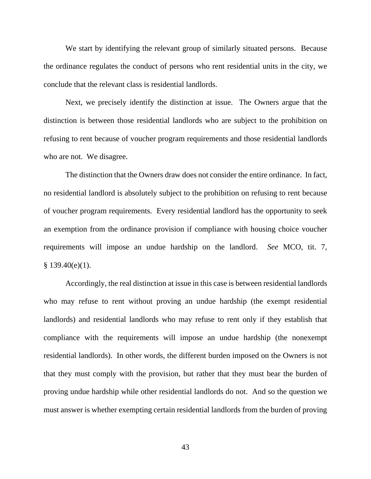We start by identifying the relevant group of similarly situated persons. Because the ordinance regulates the conduct of persons who rent residential units in the city, we conclude that the relevant class is residential landlords.

Next, we precisely identify the distinction at issue. The Owners argue that the distinction is between those residential landlords who are subject to the prohibition on refusing to rent because of voucher program requirements and those residential landlords who are not. We disagree.

 The distinction that the Owners draw does not consider the entire ordinance. In fact, no residential landlord is absolutely subject to the prohibition on refusing to rent because of voucher program requirements. Every residential landlord has the opportunity to seek an exemption from the ordinance provision if compliance with housing choice voucher requirements will impose an undue hardship on the landlord. *See* MCO, tit. 7,  $§$  139.40(e)(1).

 Accordingly, the real distinction at issue in this case is between residential landlords who may refuse to rent without proving an undue hardship (the exempt residential landlords) and residential landlords who may refuse to rent only if they establish that compliance with the requirements will impose an undue hardship (the nonexempt residential landlords). In other words, the different burden imposed on the Owners is not that they must comply with the provision, but rather that they must bear the burden of proving undue hardship while other residential landlords do not. And so the question we must answer is whether exempting certain residential landlords from the burden of proving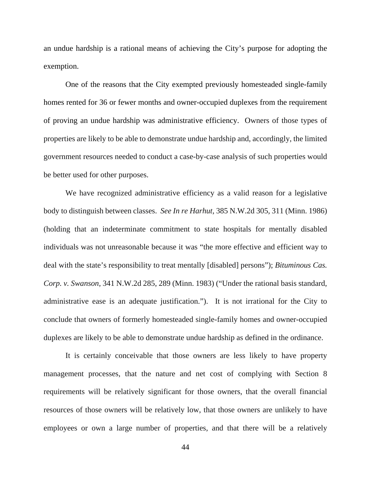an undue hardship is a rational means of achieving the City's purpose for adopting the exemption.

One of the reasons that the City exempted previously homesteaded single-family homes rented for 36 or fewer months and owner-occupied duplexes from the requirement of proving an undue hardship was administrative efficiency. Owners of those types of properties are likely to be able to demonstrate undue hardship and, accordingly, the limited government resources needed to conduct a case-by-case analysis of such properties would be better used for other purposes.

We have recognized administrative efficiency as a valid reason for a legislative body to distinguish between classes. *See In re Harhut*, 385 N.W.2d 305, 311 (Minn. 1986) (holding that an indeterminate commitment to state hospitals for mentally disabled individuals was not unreasonable because it was "the more effective and efficient way to deal with the state's responsibility to treat mentally [disabled] persons"); *Bituminous Cas. Corp. v. Swanson*, 341 N.W.2d 285, 289 (Minn. 1983) ("Under the rational basis standard, administrative ease is an adequate justification."). It is not irrational for the City to conclude that owners of formerly homesteaded single-family homes and owner-occupied duplexes are likely to be able to demonstrate undue hardship as defined in the ordinance.

It is certainly conceivable that those owners are less likely to have property management processes, that the nature and net cost of complying with Section 8 requirements will be relatively significant for those owners, that the overall financial resources of those owners will be relatively low, that those owners are unlikely to have employees or own a large number of properties, and that there will be a relatively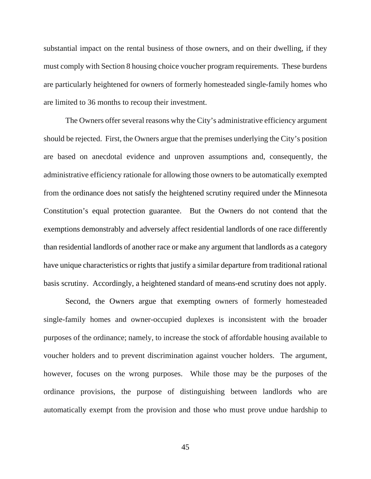substantial impact on the rental business of those owners, and on their dwelling, if they must comply with Section 8 housing choice voucher program requirements. These burdens are particularly heightened for owners of formerly homesteaded single-family homes who are limited to 36 months to recoup their investment.

The Owners offer several reasons why the City's administrative efficiency argument should be rejected. First, the Owners argue that the premises underlying the City's position are based on anecdotal evidence and unproven assumptions and, consequently, the administrative efficiency rationale for allowing those owners to be automatically exempted from the ordinance does not satisfy the heightened scrutiny required under the Minnesota Constitution's equal protection guarantee. But the Owners do not contend that the exemptions demonstrably and adversely affect residential landlords of one race differently than residential landlords of another race or make any argument that landlords as a category have unique characteristics or rights that justify a similar departure from traditional rational basis scrutiny. Accordingly, a heightened standard of means-end scrutiny does not apply.

Second, the Owners argue that exempting owners of formerly homesteaded single-family homes and owner-occupied duplexes is inconsistent with the broader purposes of the ordinance; namely, to increase the stock of affordable housing available to voucher holders and to prevent discrimination against voucher holders. The argument, however, focuses on the wrong purposes. While those may be the purposes of the ordinance provisions, the purpose of distinguishing between landlords who are automatically exempt from the provision and those who must prove undue hardship to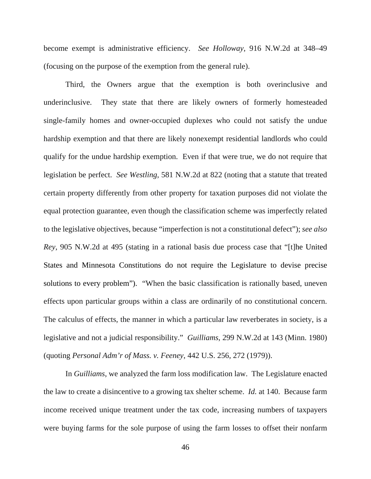become exempt is administrative efficiency. *See Holloway*, 916 N.W.2d at 348–49 (focusing on the purpose of the exemption from the general rule).

Third, the Owners argue that the exemption is both overinclusive and underinclusive. They state that there are likely owners of formerly homesteaded single-family homes and owner-occupied duplexes who could not satisfy the undue hardship exemption and that there are likely nonexempt residential landlords who could qualify for the undue hardship exemption. Even if that were true, we do not require that legislation be perfect. *See Westling*, 581 N.W.2d at 822 (noting that a statute that treated certain property differently from other property for taxation purposes did not violate the equal protection guarantee, even though the classification scheme was imperfectly related to the legislative objectives, because "imperfection is not a constitutional defect"); *see also Rey*, 905 N.W.2d at 495 (stating in a rational basis due process case that "[t]he United States and Minnesota Constitutions do not require the Legislature to devise precise solutions to every problem"). "When the basic classification is rationally based, uneven effects upon particular groups within a class are ordinarily of no constitutional concern. The calculus of effects, the manner in which a particular law reverberates in society, is a legislative and not a judicial responsibility." *Guilliams*, 299 N.W.2d at 143 (Minn. 1980) (quoting *Personal Adm'r of Mass. v. Feeney*, 442 U.S. 256, 272 (1979)).

In *Guilliams*, we analyzed the farm loss modification law. The Legislature enacted the law to create a disincentive to a growing tax shelter scheme. *Id.* at 140. Because farm income received unique treatment under the tax code, increasing numbers of taxpayers were buying farms for the sole purpose of using the farm losses to offset their nonfarm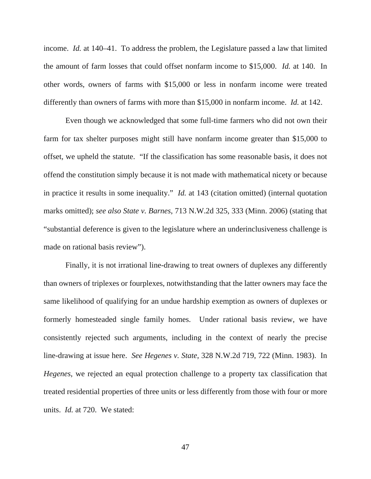income. *Id.* at 140–41. To address the problem, the Legislature passed a law that limited the amount of farm losses that could offset nonfarm income to \$15,000. *Id.* at 140. In other words, owners of farms with \$15,000 or less in nonfarm income were treated differently than owners of farms with more than \$15,000 in nonfarm income. *Id.* at 142.

Even though we acknowledged that some full-time farmers who did not own their farm for tax shelter purposes might still have nonfarm income greater than \$15,000 to offset, we upheld the statute. "If the classification has some reasonable basis, it does not offend the constitution simply because it is not made with mathematical nicety or because in practice it results in some inequality." *Id.* at 143 (citation omitted) (internal quotation marks omitted); *see also State v. Barnes*, 713 N.W.2d 325, 333 (Minn. 2006) (stating that "substantial deference is given to the legislature where an underinclusiveness challenge is made on rational basis review").

Finally, it is not irrational line-drawing to treat owners of duplexes any differently than owners of triplexes or fourplexes, notwithstanding that the latter owners may face the same likelihood of qualifying for an undue hardship exemption as owners of duplexes or formerly homesteaded single family homes. Under rational basis review, we have consistently rejected such arguments, including in the context of nearly the precise line-drawing at issue here. *See Hegenes v. State*, 328 N.W.2d 719, 722 (Minn. 1983). In *Hegenes*, we rejected an equal protection challenge to a property tax classification that treated residential properties of three units or less differently from those with four or more units. *Id.* at 720. We stated: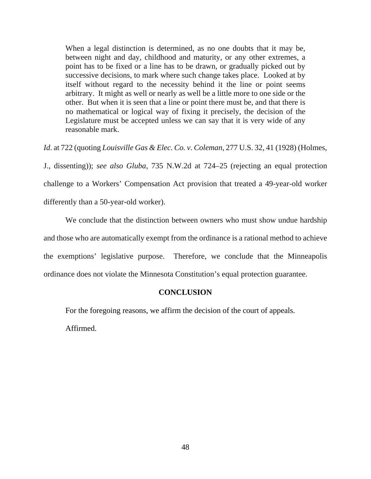When a legal distinction is determined, as no one doubts that it may be, between night and day, childhood and maturity, or any other extremes, a point has to be fixed or a line has to be drawn, or gradually picked out by successive decisions, to mark where such change takes place. Looked at by itself without regard to the necessity behind it the line or point seems arbitrary. It might as well or nearly as well be a little more to one side or the other. But when it is seen that a line or point there must be, and that there is no mathematical or logical way of fixing it precisely, the decision of the Legislature must be accepted unless we can say that it is very wide of any reasonable mark.

*Id*. at 722 (quoting *Louisville Gas & Elec. Co. v. Coleman*, 277 U.S. 32, 41 (1928) (Holmes, J., dissenting)); *see also Gluba*, 735 N.W.2d at 724–25 (rejecting an equal protection challenge to a Workers' Compensation Act provision that treated a 49-year-old worker differently than a 50-year-old worker).

 We conclude that the distinction between owners who must show undue hardship and those who are automatically exempt from the ordinance is a rational method to achieve the exemptions' legislative purpose. Therefore, we conclude that the Minneapolis ordinance does not violate the Minnesota Constitution's equal protection guarantee.

### **CONCLUSION**

For the foregoing reasons, we affirm the decision of the court of appeals.

Affirmed.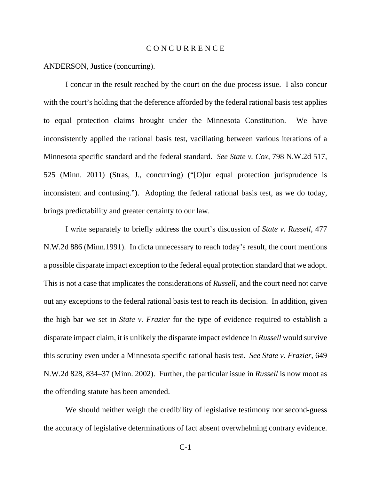### C O N C U R R E N C E

ANDERSON, Justice (concurring).

I concur in the result reached by the court on the due process issue. I also concur with the court's holding that the deference afforded by the federal rational basis test applies to equal protection claims brought under the Minnesota Constitution. We have inconsistently applied the rational basis test, vacillating between various iterations of a Minnesota specific standard and the federal standard. *See State v. Cox*, 798 N.W.2d 517, 525 (Minn. 2011) (Stras, J., concurring) ("[O]ur equal protection jurisprudence is inconsistent and confusing."). Adopting the federal rational basis test, as we do today, brings predictability and greater certainty to our law.

I write separately to briefly address the court's discussion of *State v. Russell*, 477 N.W.2d 886 (Minn.1991). In dicta unnecessary to reach today's result, the court mentions a possible disparate impact exception to the federal equal protection standard that we adopt. This is not a case that implicates the considerations of *Russell*, and the court need not carve out any exceptions to the federal rational basis test to reach its decision. In addition, given the high bar we set in *State v. Frazier* for the type of evidence required to establish a disparate impact claim, it is unlikely the disparate impact evidence in *Russell* would survive this scrutiny even under a Minnesota specific rational basis test. *See State v. Frazier*, 649 N.W.2d 828, 834–37 (Minn. 2002). Further, the particular issue in *Russell* is now moot as the offending statute has been amended.

We should neither weigh the credibility of legislative testimony nor second-guess the accuracy of legislative determinations of fact absent overwhelming contrary evidence.